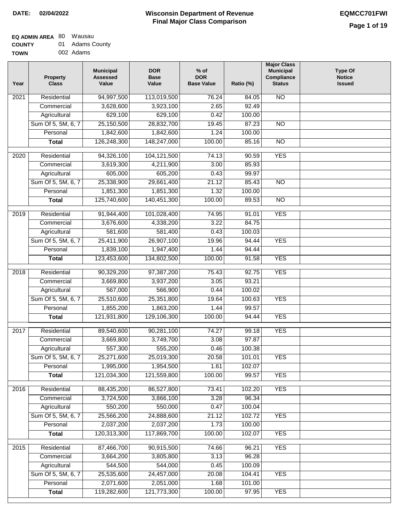#### **Wisconsin Department of Revenue Final Major Class Comparison DATE: 02/04/2022 EQMCC701FWI**

| ------      |           |
|-------------|-----------|
| <b>TOWN</b> | 002 Adams |

| Year | <b>Property</b><br><b>Class</b> | <b>Municipal</b><br><b>Assessed</b><br>Value | <b>DOR</b><br><b>Base</b><br>Value | $%$ of<br><b>DOR</b><br><b>Base Value</b> | Ratio (%) | <b>Major Class</b><br><b>Municipal</b><br>Compliance<br><b>Status</b> | <b>Type Of</b><br><b>Notice</b><br><b>Issued</b> |
|------|---------------------------------|----------------------------------------------|------------------------------------|-------------------------------------------|-----------|-----------------------------------------------------------------------|--------------------------------------------------|
| 2021 | Residential                     | 94,997,500                                   | 113,019,500                        | 76.24                                     | 84.05     | $\overline{NO}$                                                       |                                                  |
|      | Commercial                      | 3,628,600                                    | 3,923,100                          | 2.65                                      | 92.49     |                                                                       |                                                  |
|      | Agricultural                    | 629,100                                      | 629,100                            | 0.42                                      | 100.00    |                                                                       |                                                  |
|      | Sum Of 5, 5M, 6, 7              | 25,150,500                                   | 28,832,700                         | 19.45                                     | 87.23     | $\overline{NO}$                                                       |                                                  |
|      | Personal                        | 1,842,600                                    | 1,842,600                          | 1.24                                      | 100.00    |                                                                       |                                                  |
|      | <b>Total</b>                    | 126,248,300                                  | 148,247,000                        | 100.00                                    | 85.16     | $\overline{NO}$                                                       |                                                  |
| 2020 | Residential                     | 94,326,100                                   | 104,121,500                        | 74.13                                     | 90.59     | <b>YES</b>                                                            |                                                  |
|      | Commercial                      | 3,619,300                                    | 4,211,900                          | 3.00                                      | 85.93     |                                                                       |                                                  |
|      | Agricultural                    | 605,000                                      | 605,200                            | 0.43                                      | 99.97     |                                                                       |                                                  |
|      | Sum Of 5, 5M, 6, 7              | 25,338,900                                   | 29,661,400                         | 21.12                                     | 85.43     | $\overline{NO}$                                                       |                                                  |
|      | Personal                        | 1,851,300                                    | 1,851,300                          | 1.32                                      | 100.00    |                                                                       |                                                  |
|      | <b>Total</b>                    | 125,740,600                                  | 140,451,300                        | 100.00                                    | 89.53     | $\overline{NO}$                                                       |                                                  |
| 2019 | Residential                     | 91,944,400                                   | 101,028,400                        | 74.95                                     | 91.01     | <b>YES</b>                                                            |                                                  |
|      | Commercial                      | 3,676,600                                    | 4,338,200                          | 3.22                                      | 84.75     |                                                                       |                                                  |
|      | Agricultural                    | 581,600                                      | 581,400                            | 0.43                                      | 100.03    |                                                                       |                                                  |
|      | Sum Of 5, 5M, 6, 7              | 25,411,900                                   | 26,907,100                         | 19.96                                     | 94.44     | <b>YES</b>                                                            |                                                  |
|      | Personal                        | 1,839,100                                    | 1,947,400                          | 1.44                                      | 94.44     |                                                                       |                                                  |
|      | <b>Total</b>                    | 123,453,600                                  | 134,802,500                        | 100.00                                    | 91.58     | <b>YES</b>                                                            |                                                  |
| 2018 | Residential                     | 90,329,200                                   | 97,387,200                         | 75.43                                     | 92.75     | <b>YES</b>                                                            |                                                  |
|      | Commercial                      | 3,669,800                                    | 3,937,200                          | 3.05                                      | 93.21     |                                                                       |                                                  |
|      | Agricultural                    | 567,000                                      | 566,900                            | 0.44                                      | 100.02    |                                                                       |                                                  |
|      | Sum Of 5, 5M, 6, 7              | 25,510,600                                   | 25,351,800                         | 19.64                                     | 100.63    | <b>YES</b>                                                            |                                                  |
|      | Personal                        | 1,855,200                                    | 1,863,200                          | 1.44                                      | 99.57     |                                                                       |                                                  |
|      | <b>Total</b>                    | 121,931,800                                  | 129,106,300                        | 100.00                                    | 94.44     | <b>YES</b>                                                            |                                                  |
|      |                                 |                                              |                                    |                                           |           |                                                                       |                                                  |
| 2017 | Residential                     | 89,540,600                                   | 90,281,100                         | 74.27                                     | 99.18     | <b>YES</b>                                                            |                                                  |
|      | Commercial                      | 3,669,800                                    | 3,749,700                          | 3.08                                      | 97.87     |                                                                       |                                                  |
|      | Agricultural                    | 557,300                                      | 555,200                            | 0.46                                      | 100.38    |                                                                       |                                                  |
|      | Sum Of 5, 5M, 6, 7              | 25,271,600                                   | 25,019,300                         | 20.58                                     | 101.01    | <b>YES</b>                                                            |                                                  |
|      | Personal                        | 1,995,000                                    | 1,954,500                          | 1.61                                      | 102.07    |                                                                       |                                                  |
|      | <b>Total</b>                    | 121,034,300                                  | 121,559,800                        | 100.00                                    | 99.57     | <b>YES</b>                                                            |                                                  |
| 2016 | Residential                     | 88,435,200                                   | 86,527,800                         | 73.41                                     | 102.20    | <b>YES</b>                                                            |                                                  |
|      | Commercial                      | 3,724,500                                    | 3,866,100                          | 3.28                                      | 96.34     |                                                                       |                                                  |
|      | Agricultural                    | 550,200                                      | 550,000                            | 0.47                                      | 100.04    |                                                                       |                                                  |
|      | Sum Of 5, 5M, 6, 7              | 25,566,200                                   | 24,888,600                         | 21.12                                     | 102.72    | <b>YES</b>                                                            |                                                  |
|      | Personal                        | 2,037,200                                    | 2,037,200                          | 1.73                                      | 100.00    |                                                                       |                                                  |
|      | <b>Total</b>                    | 120,313,300                                  | 117,869,700                        | 100.00                                    | 102.07    | <b>YES</b>                                                            |                                                  |
| 2015 | Residential                     | 87,466,700                                   | 90,915,500                         | 74.66                                     | 96.21     | <b>YES</b>                                                            |                                                  |
|      | Commercial                      | 3,664,200                                    | 3,805,800                          | 3.13                                      | 96.28     |                                                                       |                                                  |
|      | Agricultural                    | 544,500                                      | 544,000                            | 0.45                                      | 100.09    |                                                                       |                                                  |
|      | Sum Of 5, 5M, 6, 7              | 25,535,600                                   | 24,457,000                         | 20.08                                     | 104.41    | <b>YES</b>                                                            |                                                  |
|      | Personal                        | 2,071,600                                    | 2,051,000                          | 1.68                                      | 101.00    |                                                                       |                                                  |
|      | <b>Total</b>                    | 119,282,600                                  | 121,773,300                        | 100.00                                    | 97.95     | <b>YES</b>                                                            |                                                  |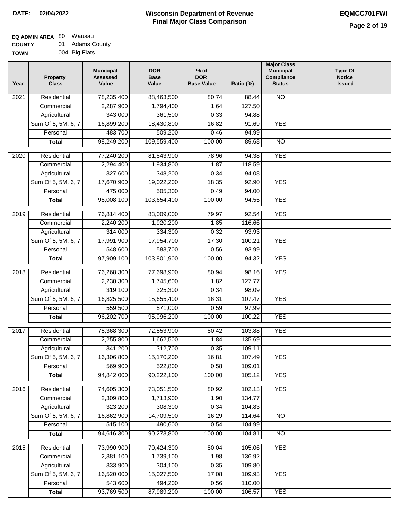#### **EQ ADMIN AREA** 80 Wausau **COUNTY** 01 Adams County

**TOWN** 004 Big Flats

| Year              | <b>Property</b><br><b>Class</b> | <b>Municipal</b><br><b>Assessed</b><br>Value | <b>DOR</b><br><b>Base</b><br>Value | $%$ of<br><b>DOR</b><br><b>Base Value</b> | Ratio (%) | <b>Major Class</b><br><b>Municipal</b><br>Compliance<br><b>Status</b> | <b>Type Of</b><br><b>Notice</b><br><b>Issued</b> |
|-------------------|---------------------------------|----------------------------------------------|------------------------------------|-------------------------------------------|-----------|-----------------------------------------------------------------------|--------------------------------------------------|
| 2021              | Residential                     | 78,235,400                                   | 88,463,500                         | 80.74                                     | 88.44     | <b>NO</b>                                                             |                                                  |
|                   | Commercial                      | 2,287,900                                    | 1,794,400                          | 1.64                                      | 127.50    |                                                                       |                                                  |
|                   | Agricultural                    | 343,000                                      | 361,500                            | 0.33                                      | 94.88     |                                                                       |                                                  |
|                   | Sum Of 5, 5M, 6, 7              | 16,899,200                                   | 18,430,800                         | 16.82                                     | 91.69     | <b>YES</b>                                                            |                                                  |
|                   | Personal                        | 483,700                                      | 509,200                            | 0.46                                      | 94.99     |                                                                       |                                                  |
|                   | <b>Total</b>                    | 98,249,200                                   | 109,559,400                        | 100.00                                    | 89.68     | $\overline{NO}$                                                       |                                                  |
| $\overline{2020}$ | Residential                     | 77,240,200                                   | 81,843,900                         | 78.96                                     | 94.38     | <b>YES</b>                                                            |                                                  |
|                   | Commercial                      | 2,294,400                                    | 1,934,800                          | 1.87                                      | 118.59    |                                                                       |                                                  |
|                   | Agricultural                    | 327,600                                      | 348,200                            | 0.34                                      | 94.08     |                                                                       |                                                  |
|                   | Sum Of 5, 5M, 6, 7              | 17,670,900                                   | 19,022,200                         | 18.35                                     | 92.90     | <b>YES</b>                                                            |                                                  |
|                   | Personal                        | 475,000                                      | 505,300                            | 0.49                                      | 94.00     |                                                                       |                                                  |
|                   | <b>Total</b>                    | 98,008,100                                   | 103,654,400                        | 100.00                                    | 94.55     | <b>YES</b>                                                            |                                                  |
|                   |                                 |                                              |                                    |                                           |           |                                                                       |                                                  |
| $\frac{1}{2019}$  | Residential                     | 76,814,400                                   | 83,009,000                         | 79.97                                     | 92.54     | <b>YES</b>                                                            |                                                  |
|                   | Commercial                      | 2,240,200                                    | 1,920,200                          | 1.85                                      | 116.66    |                                                                       |                                                  |
|                   | Agricultural                    | 314,000                                      | 334,300                            | 0.32                                      | 93.93     |                                                                       |                                                  |
|                   | Sum Of 5, 5M, 6, 7              | 17,991,900                                   | 17,954,700                         | 17.30                                     | 100.21    | <b>YES</b>                                                            |                                                  |
|                   | Personal                        | 548,600                                      | 583,700                            | 0.56                                      | 93.99     |                                                                       |                                                  |
|                   | <b>Total</b>                    | 97,909,100                                   | 103,801,900                        | 100.00                                    | 94.32     | <b>YES</b>                                                            |                                                  |
| 2018              | Residential                     | 76,268,300                                   | 77,698,900                         | 80.94                                     | 98.16     | <b>YES</b>                                                            |                                                  |
|                   | Commercial                      | 2,230,300                                    | 1,745,600                          | 1.82                                      | 127.77    |                                                                       |                                                  |
|                   | Agricultural                    | 319,100                                      | 325,300                            | 0.34                                      | 98.09     |                                                                       |                                                  |
|                   | Sum Of 5, 5M, 6, 7              | 16,825,500                                   | 15,655,400                         | 16.31                                     | 107.47    | <b>YES</b>                                                            |                                                  |
|                   | Personal                        | 559,500                                      | 571,000                            | 0.59                                      | 97.99     |                                                                       |                                                  |
|                   | <b>Total</b>                    | 96,202,700                                   | 95,996,200                         | 100.00                                    | 100.22    | <b>YES</b>                                                            |                                                  |
| 2017              | Residential                     | 75,368,300                                   | 72,553,900                         | 80.42                                     | 103.88    | <b>YES</b>                                                            |                                                  |
|                   | Commercial                      | 2,255,800                                    | 1,662,500                          | 1.84                                      | 135.69    |                                                                       |                                                  |
|                   | Agricultural                    | 341,200                                      | 312,700                            | 0.35                                      | 109.11    |                                                                       |                                                  |
|                   | Sum Of 5, 5M, 6, 7              | 16,306,800                                   | 15,170,200                         | 16.81                                     | 107.49    | <b>YES</b>                                                            |                                                  |
|                   | Personal                        | 569,900                                      | 522,800                            | 0.58                                      | 109.01    |                                                                       |                                                  |
|                   | <b>Total</b>                    | 94,842,000                                   | 90,222,100                         | 100.00                                    | 105.12    | <b>YES</b>                                                            |                                                  |
| 2016              | Residential                     | 74,605,300                                   | 73,051,500                         | 80.92                                     | 102.13    | <b>YES</b>                                                            |                                                  |
|                   | Commercial                      | 2,309,800                                    | 1,713,900                          | 1.90                                      | 134.77    |                                                                       |                                                  |
|                   | Agricultural                    | 323,200                                      | 308,300                            | 0.34                                      | 104.83    |                                                                       |                                                  |
|                   | Sum Of 5, 5M, 6, 7              | 16,862,900                                   | 14,709,500                         | 16.29                                     | 114.64    | <b>NO</b>                                                             |                                                  |
|                   | Personal                        | 515,100                                      | 490,600                            | 0.54                                      | 104.99    |                                                                       |                                                  |
|                   | <b>Total</b>                    | 94,616,300                                   | 90,273,800                         | 100.00                                    | 104.81    | $\overline{NO}$                                                       |                                                  |
| 2015              | Residential                     | 73,990,900                                   | 70,424,300                         | 80.04                                     | 105.06    | <b>YES</b>                                                            |                                                  |
|                   | Commercial                      | 2,381,100                                    | 1,739,100                          | 1.98                                      | 136.92    |                                                                       |                                                  |
|                   | Agricultural                    | 333,900                                      | 304,100                            | 0.35                                      | 109.80    |                                                                       |                                                  |
|                   | Sum Of 5, 5M, 6, 7              | 16,520,000                                   | 15,027,500                         | 17.08                                     | 109.93    | <b>YES</b>                                                            |                                                  |
|                   | Personal                        | 543,600                                      | 494,200                            | 0.56                                      | 110.00    |                                                                       |                                                  |
|                   | <b>Total</b>                    | 93,769,500                                   | 87,989,200                         | 100.00                                    | 106.57    | <b>YES</b>                                                            |                                                  |
|                   |                                 |                                              |                                    |                                           |           |                                                                       |                                                  |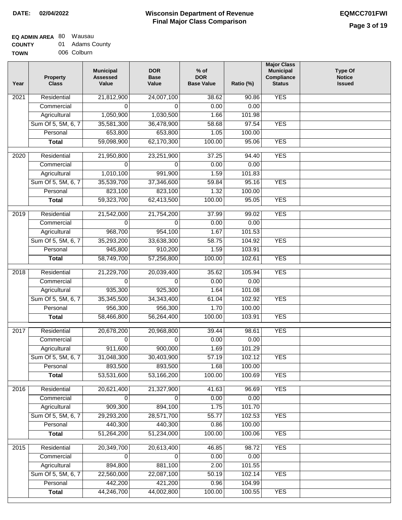$\Box$ 

#### **Wisconsin Department of Revenue Final Major Class Comparison DATE: 02/04/2022 EQMCC701FWI**

| <b>LUUNIT</b> | Audilis Cuul |
|---------------|--------------|
| <b>TOWN</b>   | 006 Colburn  |

| Year | <b>Property</b><br><b>Class</b> | <b>Municipal</b><br><b>Assessed</b><br>Value | <b>DOR</b><br><b>Base</b><br>Value | $%$ of<br><b>DOR</b><br><b>Base Value</b> | Ratio (%) | <b>Major Class</b><br><b>Municipal</b><br>Compliance<br><b>Status</b> | <b>Type Of</b><br><b>Notice</b><br><b>Issued</b> |
|------|---------------------------------|----------------------------------------------|------------------------------------|-------------------------------------------|-----------|-----------------------------------------------------------------------|--------------------------------------------------|
| 2021 | Residential                     | 21,812,900                                   | 24,007,100                         | 38.62                                     | 90.86     | <b>YES</b>                                                            |                                                  |
|      | Commercial                      | $\Omega$                                     | $\Omega$                           | 0.00                                      | 0.00      |                                                                       |                                                  |
|      | Agricultural                    | 1,050,900                                    | 1,030,500                          | 1.66                                      | 101.98    |                                                                       |                                                  |
|      | Sum Of 5, 5M, 6, 7              | 35,581,300                                   | 36,478,900                         | 58.68                                     | 97.54     | <b>YES</b>                                                            |                                                  |
|      | Personal                        | 653,800                                      | 653,800                            | 1.05                                      | 100.00    |                                                                       |                                                  |
|      | <b>Total</b>                    | 59,098,900                                   | 62,170,300                         | 100.00                                    | 95.06     | <b>YES</b>                                                            |                                                  |
| 2020 | Residential                     | 21,950,800                                   | 23,251,900                         | 37.25                                     | 94.40     | <b>YES</b>                                                            |                                                  |
|      | Commercial                      | $\Omega$                                     | $\Omega$                           | 0.00                                      | 0.00      |                                                                       |                                                  |
|      | Agricultural                    | 1,010,100                                    | 991,900                            | 1.59                                      | 101.83    |                                                                       |                                                  |
|      | Sum Of 5, 5M, 6, 7              | 35,539,700                                   | 37,346,600                         | 59.84                                     | 95.16     | <b>YES</b>                                                            |                                                  |
|      | Personal                        | 823,100                                      | 823,100                            | 1.32                                      | 100.00    |                                                                       |                                                  |
|      | <b>Total</b>                    | 59,323,700                                   | 62,413,500                         | 100.00                                    | 95.05     | <b>YES</b>                                                            |                                                  |
|      |                                 |                                              |                                    |                                           |           |                                                                       |                                                  |
| 2019 | Residential                     | 21,542,000                                   | 21,754,200                         | 37.99                                     | 99.02     | <b>YES</b>                                                            |                                                  |
|      | Commercial                      | $\Omega$                                     | $\Omega$                           | 0.00                                      | 0.00      |                                                                       |                                                  |
|      | Agricultural                    | 968,700                                      | 954,100                            | 1.67                                      | 101.53    |                                                                       |                                                  |
|      | Sum Of 5, 5M, 6, 7              | 35,293,200                                   | 33,638,300                         | 58.75                                     | 104.92    | <b>YES</b>                                                            |                                                  |
|      | Personal                        | 945,800                                      | 910,200                            | 1.59                                      | 103.91    |                                                                       |                                                  |
|      | <b>Total</b>                    | 58,749,700                                   | 57,256,800                         | 100.00                                    | 102.61    | <b>YES</b>                                                            |                                                  |
| 2018 | Residential                     | 21,229,700                                   | 20,039,400                         | 35.62                                     | 105.94    | <b>YES</b>                                                            |                                                  |
|      | Commercial                      | $\Omega$                                     | 0                                  | 0.00                                      | 0.00      |                                                                       |                                                  |
|      | Agricultural                    | 935,300                                      | 925,300                            | 1.64                                      | 101.08    |                                                                       |                                                  |
|      | Sum Of 5, 5M, 6, 7              | 35,345,500                                   | 34, 343, 400                       | 61.04                                     | 102.92    | <b>YES</b>                                                            |                                                  |
|      | Personal                        | 956,300                                      | 956,300                            | 1.70                                      | 100.00    |                                                                       |                                                  |
|      | <b>Total</b>                    | 58,466,800                                   | 56,264,400                         | 100.00                                    | 103.91    | <b>YES</b>                                                            |                                                  |
|      | Residential                     |                                              |                                    | 39.44                                     | 98.61     | <b>YES</b>                                                            |                                                  |
| 2017 |                                 | 20,678,200<br>0                              | 20,968,800<br>$\Omega$             | 0.00                                      | 0.00      |                                                                       |                                                  |
|      | Commercial<br>Agricultural      | 911,600                                      | 900,000                            | 1.69                                      | 101.29    |                                                                       |                                                  |
|      | Sum Of 5, 5M, 6, 7              | 31,048,300                                   | 30,403,900                         | 57.19                                     | 102.12    | <b>YES</b>                                                            |                                                  |
|      | Personal                        | 893,500                                      | 893,500                            | 1.68                                      | 100.00    |                                                                       |                                                  |
|      | <b>Total</b>                    | 53,531,600                                   | 53,166,200                         | 100.00                                    | 100.69    | <b>YES</b>                                                            |                                                  |
|      |                                 |                                              |                                    |                                           |           |                                                                       |                                                  |
| 2016 | Residential                     | 20,621,400                                   | 21,327,900                         | 41.63                                     | 96.69     | <b>YES</b>                                                            |                                                  |
|      | Commercial                      | 0                                            | 0                                  | 0.00                                      | 0.00      |                                                                       |                                                  |
|      | Agricultural                    | 909,300                                      | 894,100                            | 1.75                                      | 101.70    |                                                                       |                                                  |
|      | Sum Of 5, 5M, 6, 7              | 29,293,200                                   | 28,571,700                         | 55.77                                     | 102.53    | <b>YES</b>                                                            |                                                  |
|      | Personal                        | 440,300                                      | 440,300                            | 0.86                                      | 100.00    |                                                                       |                                                  |
|      | <b>Total</b>                    | 51,264,200                                   | 51,234,000                         | 100.00                                    | 100.06    | <b>YES</b>                                                            |                                                  |
| 2015 | Residential                     | 20,349,700                                   | 20,613,400                         | 46.85                                     | 98.72     | <b>YES</b>                                                            |                                                  |
|      | Commercial                      | 0                                            | 0                                  | 0.00                                      | 0.00      |                                                                       |                                                  |
|      | Agricultural                    | 894,800                                      | 881,100                            | 2.00                                      | 101.55    |                                                                       |                                                  |
|      | Sum Of 5, 5M, 6, 7              | 22,560,000                                   | 22,087,100                         | 50.19                                     | 102.14    | <b>YES</b>                                                            |                                                  |
|      | Personal                        | 442,200                                      | 421,200                            | 0.96                                      | 104.99    |                                                                       |                                                  |
|      | <b>Total</b>                    | 44,246,700                                   | 44,002,800                         | 100.00                                    | 100.55    | <b>YES</b>                                                            |                                                  |
|      |                                 |                                              |                                    |                                           |           |                                                                       |                                                  |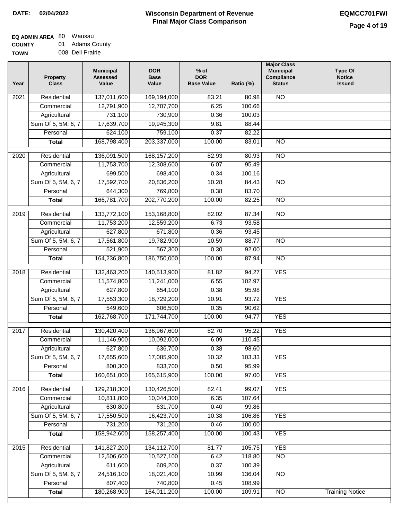## **EQ ADMIN AREA** 80 Wausau

**COUNTY TOWN** 01 Adams County 008 Dell Prairie

| Year              | <b>Property</b><br><b>Class</b>    | <b>Municipal</b><br><b>Assessed</b><br>Value | <b>DOR</b><br><b>Base</b><br>Value | % of<br><b>DOR</b><br><b>Base Value</b> | Ratio (%)      | <b>Major Class</b><br><b>Municipal</b><br>Compliance<br><b>Status</b> | <b>Type Of</b><br><b>Notice</b><br><b>Issued</b> |
|-------------------|------------------------------------|----------------------------------------------|------------------------------------|-----------------------------------------|----------------|-----------------------------------------------------------------------|--------------------------------------------------|
| $\overline{202}1$ | Residential                        | 137,011,600                                  | 169,194,000                        | 83.21                                   | 80.98          | $\overline{NO}$                                                       |                                                  |
|                   | Commercial                         | 12,791,900                                   | 12,707,700                         | 6.25                                    | 100.66         |                                                                       |                                                  |
|                   | Agricultural                       | 731,100                                      | 730,900                            | 0.36                                    | 100.03         |                                                                       |                                                  |
|                   | Sum Of 5, 5M, 6, 7                 | 17,639,700                                   | 19,945,300                         | 9.81                                    | 88.44          |                                                                       |                                                  |
|                   | Personal                           | 624,100                                      | 759,100                            | 0.37                                    | 82.22          |                                                                       |                                                  |
|                   | <b>Total</b>                       | 168,798,400                                  | 203,337,000                        | 100.00                                  | 83.01          | $\overline{NO}$                                                       |                                                  |
| $\overline{2020}$ | Residential                        | 136,091,500                                  | 168, 157, 200                      | 82.93                                   | 80.93          | $\overline{NO}$                                                       |                                                  |
|                   | Commercial                         | 11,753,700                                   | 12,308,600                         | 6.07                                    | 95.49          |                                                                       |                                                  |
|                   | Agricultural                       | 699,500                                      | 698,400                            | 0.34                                    | 100.16         |                                                                       |                                                  |
|                   | Sum Of 5, 5M, 6, 7                 | 17,592,700                                   | 20,836,200                         | 10.28                                   | 84.43          | $\overline{NO}$                                                       |                                                  |
|                   | Personal                           | 644,300                                      | 769,800                            | 0.38                                    | 83.70          |                                                                       |                                                  |
|                   | <b>Total</b>                       | 166,781,700                                  | 202,770,200                        | 100.00                                  | 82.25          | $\overline{NO}$                                                       |                                                  |
|                   |                                    |                                              |                                    |                                         |                |                                                                       |                                                  |
| 2019              | Residential<br>Commercial          | 133,772,100<br>11,753,200                    | 153,168,800<br>12,559,200          | 82.02<br>6.73                           | 87.34<br>93.58 | <b>NO</b>                                                             |                                                  |
|                   |                                    | 627,800                                      | 671,800                            | 0.36                                    | 93.45          |                                                                       |                                                  |
|                   | Agricultural<br>Sum Of 5, 5M, 6, 7 | 17,561,800                                   | 19,782,900                         | 10.59                                   | 88.77          | $\overline{NO}$                                                       |                                                  |
|                   | Personal                           | 521,900                                      | 567,300                            | 0.30                                    | 92.00          |                                                                       |                                                  |
|                   | <b>Total</b>                       | 164,236,800                                  | 186,750,000                        | 100.00                                  | 87.94          | $\overline{NO}$                                                       |                                                  |
|                   |                                    |                                              |                                    |                                         |                |                                                                       |                                                  |
| 2018              | Residential                        | 132,463,200                                  | 140,513,900                        | 81.82                                   | 94.27          | <b>YES</b>                                                            |                                                  |
|                   | Commercial                         | 11,574,800                                   | 11,241,000                         | 6.55                                    | 102.97         |                                                                       |                                                  |
|                   | Agricultural                       | 627,800                                      | 654,100                            | 0.38                                    | 95.98          |                                                                       |                                                  |
|                   | Sum Of 5, 5M, 6, 7                 | 17,553,300                                   | 18,729,200                         | 10.91                                   | 93.72          | <b>YES</b>                                                            |                                                  |
|                   | Personal                           | 549,600                                      | 606,500                            | 0.35                                    | 90.62          |                                                                       |                                                  |
|                   | <b>Total</b>                       | 162,768,700                                  | 171,744,700                        | 100.00                                  | 94.77          | <b>YES</b>                                                            |                                                  |
| 2017              | Residential                        | 130,420,400                                  | 136,967,600                        | 82.70                                   | 95.22          | <b>YES</b>                                                            |                                                  |
|                   | Commercial                         | 11,146,900                                   | 10,092,000                         | 6.09                                    | 110.45         |                                                                       |                                                  |
|                   | Agricultural                       | 627,800                                      | 636,700                            | 0.38                                    | 98.60          |                                                                       |                                                  |
|                   | Sum Of 5, 5M, 6, 7                 | 17,655,600                                   | 17,085,900                         | 10.32                                   | 103.33         | <b>YES</b>                                                            |                                                  |
|                   | Personal                           | 800,300                                      | 833,700                            | 0.50                                    | 95.99          |                                                                       |                                                  |
|                   | <b>Total</b>                       | 160,651,000                                  | 165,615,900                        | 100.00                                  | 97.00          | <b>YES</b>                                                            |                                                  |
| 2016              | Residential                        | 129,218,300                                  | 130,426,500                        | 82.41                                   | 99.07          | <b>YES</b>                                                            |                                                  |
|                   | Commercial                         | 10,811,800                                   | 10,044,300                         | 6.35                                    | 107.64         |                                                                       |                                                  |
|                   | Agricultural                       | 630,800                                      | 631,700                            | 0.40                                    | 99.86          |                                                                       |                                                  |
|                   | Sum Of 5, 5M, 6, 7                 | 17,550,500                                   | 16,423,700                         | 10.38                                   | 106.86         | <b>YES</b>                                                            |                                                  |
|                   | Personal                           | 731,200                                      | 731,200                            | 0.46                                    | 100.00         |                                                                       |                                                  |
|                   | <b>Total</b>                       | 158,942,600                                  | 158,257,400                        | 100.00                                  | 100.43         | <b>YES</b>                                                            |                                                  |
| 2015              | Residential                        | 141,827,200                                  | 134,112,700                        | 81.77                                   | 105.75         | <b>YES</b>                                                            |                                                  |
|                   | Commercial                         | 12,506,600                                   | 10,527,100                         | 6.42                                    | 118.80         | N <sub>O</sub>                                                        |                                                  |
|                   | Agricultural                       | 611,600                                      | 609,200                            | 0.37                                    | 100.39         |                                                                       |                                                  |
|                   | Sum Of 5, 5M, 6, 7                 | 24,516,100                                   | 18,021,400                         | 10.99                                   | 136.04         | N <sub>O</sub>                                                        |                                                  |
|                   | Personal                           | 807,400                                      | 740,800                            | 0.45                                    | 108.99         |                                                                       |                                                  |
|                   | <b>Total</b>                       | 180,268,900                                  | 164,011,200                        | 100.00                                  | 109.91         | N <sub>O</sub>                                                        | <b>Training Notice</b>                           |
|                   |                                    |                                              |                                    |                                         |                |                                                                       |                                                  |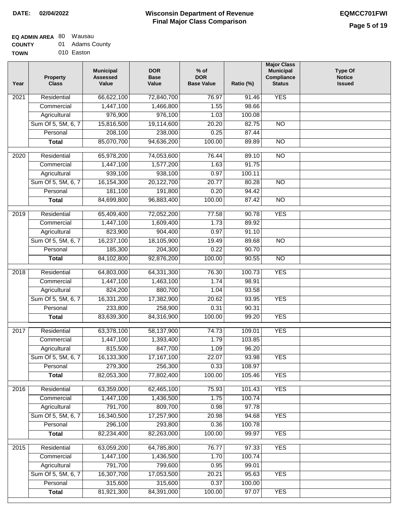#### **Wisconsin Department of Revenue Final Major Class Comparison DATE: 02/04/2022 EQMCC701FWI**

### **EQ ADMIN AREA** 80 Wausau **COUNTY**

| <b>COUNTY</b> | 01 Adams County |
|---------------|-----------------|
| <b>TOWN</b>   | 010 Easton      |

| Year              | <b>Property</b><br><b>Class</b> | <b>Municipal</b><br><b>Assessed</b><br>Value | <b>DOR</b><br><b>Base</b><br>Value | $%$ of<br><b>DOR</b><br><b>Base Value</b> | Ratio (%)         | <b>Major Class</b><br><b>Municipal</b><br>Compliance<br><b>Status</b> | <b>Type Of</b><br><b>Notice</b><br><b>Issued</b> |
|-------------------|---------------------------------|----------------------------------------------|------------------------------------|-------------------------------------------|-------------------|-----------------------------------------------------------------------|--------------------------------------------------|
| 2021              | Residential                     | 66,622,100                                   | 72,840,700                         | 76.97                                     | $\frac{1}{91.46}$ | <b>YES</b>                                                            |                                                  |
|                   | Commercial                      | 1,447,100                                    | 1,466,800                          | 1.55                                      | 98.66             |                                                                       |                                                  |
|                   | Agricultural                    | 976,900                                      | 976,100                            | 1.03                                      | 100.08            |                                                                       |                                                  |
|                   | Sum Of 5, 5M, 6, 7              | 15,816,500                                   | 19,114,600                         | 20.20                                     | 82.75             | $\overline{NO}$                                                       |                                                  |
|                   | Personal                        | 208,100                                      | 238,000                            | 0.25                                      | 87.44             |                                                                       |                                                  |
|                   | <b>Total</b>                    | 85,070,700                                   | 94,636,200                         | 100.00                                    | 89.89             | $\overline{NO}$                                                       |                                                  |
| $\overline{2020}$ | Residential                     | 65,978,200                                   | 74,053,600                         | 76.44                                     | 89.10             | $\overline{10}$                                                       |                                                  |
|                   | Commercial                      | 1,447,100                                    | 1,577,200                          | 1.63                                      | 91.75             |                                                                       |                                                  |
|                   | Agricultural                    | 939,100                                      | 938,100                            | 0.97                                      | 100.11            |                                                                       |                                                  |
|                   | Sum Of 5, 5M, 6, 7              | 16,154,300                                   | 20,122,700                         | 20.77                                     | 80.28             | <b>NO</b>                                                             |                                                  |
|                   | Personal                        | 181,100                                      | 191,800                            | 0.20                                      | 94.42             |                                                                       |                                                  |
|                   | <b>Total</b>                    | 84,699,800                                   | 96,883,400                         | 100.00                                    | 87.42             | <b>NO</b>                                                             |                                                  |
|                   |                                 |                                              |                                    |                                           |                   |                                                                       |                                                  |
| $\frac{1}{2019}$  | Residential                     | 65,409,400                                   | 72,052,200                         | 77.58                                     | 90.78             | <b>YES</b>                                                            |                                                  |
|                   | Commercial                      | 1,447,100                                    | 1,609,400                          | 1.73                                      | 89.92             |                                                                       |                                                  |
|                   | Agricultural                    | 823,900                                      | 904,400                            | 0.97                                      | 91.10             |                                                                       |                                                  |
|                   | Sum Of 5, 5M, 6, 7              | 16,237,100                                   | 18,105,900                         | 19.49                                     | 89.68             | $\overline{NO}$                                                       |                                                  |
|                   | Personal                        | 185,300                                      | 204,300                            | 0.22                                      | 90.70             |                                                                       |                                                  |
|                   | <b>Total</b>                    | 84,102,800                                   | 92,876,200                         | 100.00                                    | 90.55             | $\overline{NO}$                                                       |                                                  |
| 2018              | Residential                     | 64,803,000                                   | 64,331,300                         | 76.30                                     | 100.73            | <b>YES</b>                                                            |                                                  |
|                   | Commercial                      | 1,447,100                                    | 1,463,100                          | 1.74                                      | 98.91             |                                                                       |                                                  |
|                   | Agricultural                    | 824,200                                      | 880,700                            | 1.04                                      | 93.58             |                                                                       |                                                  |
|                   | Sum Of 5, 5M, 6, 7              | 16,331,200                                   | 17,382,900                         | 20.62                                     | 93.95             | <b>YES</b>                                                            |                                                  |
|                   | Personal                        | 233,800                                      | 258,900                            | 0.31                                      | 90.31             |                                                                       |                                                  |
|                   | <b>Total</b>                    | 83,639,300                                   | 84,316,900                         | 100.00                                    | 99.20             | <b>YES</b>                                                            |                                                  |
| 2017              | Residential                     | 63,378,100                                   | 58,137,900                         | 74.73                                     | 109.01            | <b>YES</b>                                                            |                                                  |
|                   | Commercial                      | 1,447,100                                    | 1,393,400                          | 1.79                                      | 103.85            |                                                                       |                                                  |
|                   | Agricultural                    | 815,500                                      | 847,700                            | 1.09                                      | 96.20             |                                                                       |                                                  |
|                   | Sum Of 5, 5M, 6, 7              | 16,133,300                                   | 17, 167, 100                       | 22.07                                     | 93.98             | <b>YES</b>                                                            |                                                  |
|                   | Personal                        | 279,300                                      | 256,300                            | 0.33                                      | 108.97            |                                                                       |                                                  |
|                   | <b>Total</b>                    | 82,053,300                                   | 77,802,400                         | 100.00                                    | 105.46            | <b>YES</b>                                                            |                                                  |
| 2016              | Residential                     | 63,359,000                                   | 62,465,100                         | 75.93                                     | 101.43            | <b>YES</b>                                                            |                                                  |
|                   | Commercial                      | 1,447,100                                    | 1,436,500                          | 1.75                                      | 100.74            |                                                                       |                                                  |
|                   | Agricultural                    | 791,700                                      | 809,700                            | 0.98                                      | 97.78             |                                                                       |                                                  |
|                   | Sum Of 5, 5M, 6, 7              | 16,340,500                                   | 17,257,900                         | 20.98                                     | 94.68             | <b>YES</b>                                                            |                                                  |
|                   | Personal                        | 296,100                                      | 293,800                            | 0.36                                      | 100.78            |                                                                       |                                                  |
|                   | <b>Total</b>                    | 82,234,400                                   | 82,263,000                         | 100.00                                    | 99.97             | <b>YES</b>                                                            |                                                  |
| 2015              | Residential                     | 63,059,200                                   | 64,785,800                         | 76.77                                     | 97.33             | <b>YES</b>                                                            |                                                  |
|                   | Commercial                      | 1,447,100                                    | 1,436,500                          | 1.70                                      | 100.74            |                                                                       |                                                  |
|                   |                                 | 791,700                                      |                                    |                                           |                   |                                                                       |                                                  |
|                   | Agricultural                    |                                              | 799,600                            | 0.95                                      | 99.01             |                                                                       |                                                  |
|                   | Sum Of 5, 5M, 6, 7              | 16,307,700<br>315,600                        | 17,053,500<br>315,600              | 20.21                                     | 95.63             | <b>YES</b>                                                            |                                                  |
|                   | Personal                        | 81,921,300                                   | 84,391,000                         | 0.37<br>100.00                            | 100.00<br>97.07   | <b>YES</b>                                                            |                                                  |
|                   | <b>Total</b>                    |                                              |                                    |                                           |                   |                                                                       |                                                  |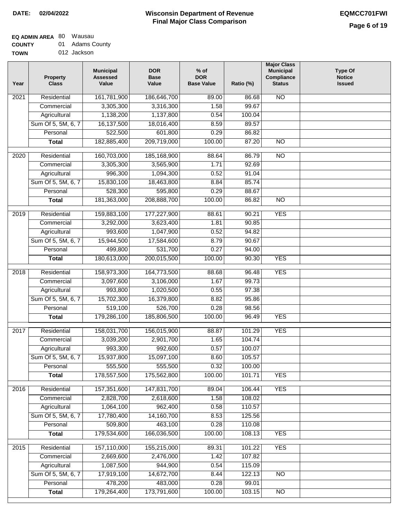### **EQ ADMIN AREA** 80 Wausau **COUNTY**

**TOWN** 01 Adams County 012 Jackson

| Year              | <b>Property</b><br><b>Class</b>    | <b>Municipal</b><br><b>Assessed</b><br>Value | <b>DOR</b><br><b>Base</b><br>Value | $%$ of<br><b>DOR</b><br><b>Base Value</b> | Ratio (%)      | <b>Major Class</b><br><b>Municipal</b><br>Compliance<br><b>Status</b> | <b>Type Of</b><br><b>Notice</b><br><b>Issued</b> |
|-------------------|------------------------------------|----------------------------------------------|------------------------------------|-------------------------------------------|----------------|-----------------------------------------------------------------------|--------------------------------------------------|
| $\overline{202}1$ | Residential                        | 161,781,900                                  | 186,646,700                        | 89.00                                     | 86.68          | N <sub>O</sub>                                                        |                                                  |
|                   | Commercial                         | 3,305,300                                    | 3,316,300                          | 1.58                                      | 99.67          |                                                                       |                                                  |
|                   | Agricultural                       | 1,138,200                                    | 1,137,800                          | 0.54                                      | 100.04         |                                                                       |                                                  |
|                   | Sum Of 5, 5M, 6, 7                 | 16,137,500                                   | 18,016,400                         | 8.59                                      | 89.57          |                                                                       |                                                  |
|                   | Personal                           | 522,500                                      | 601,800                            | 0.29                                      | 86.82          |                                                                       |                                                  |
|                   | <b>Total</b>                       | 182,885,400                                  | 209,719,000                        | 100.00                                    | 87.20          | $\overline{NO}$                                                       |                                                  |
| $\overline{2020}$ | Residential                        | 160,703,000                                  | 185,168,900                        | 88.64                                     | 86.79          | $\overline{10}$                                                       |                                                  |
|                   | Commercial                         | 3,305,300                                    | 3,565,900                          | 1.71                                      | 92.69          |                                                                       |                                                  |
|                   | Agricultural                       | 996,300                                      | 1,094,300                          | 0.52                                      | 91.04          |                                                                       |                                                  |
|                   | Sum Of 5, 5M, 6, 7                 | 15,830,100                                   | 18,463,800                         | 8.84                                      | 85.74          |                                                                       |                                                  |
|                   | Personal                           | 528,300                                      | 595,800                            | 0.29                                      | 88.67          |                                                                       |                                                  |
|                   | <b>Total</b>                       | 181,363,000                                  | 208,888,700                        | 100.00                                    | 86.82          | $\overline{NO}$                                                       |                                                  |
| 2019              | Residential                        | 159,883,100                                  | 177,227,900                        | 88.61                                     | 90.21          | <b>YES</b>                                                            |                                                  |
|                   | Commercial                         | 3,292,000                                    | 3,623,400                          | 1.81                                      | 90.85          |                                                                       |                                                  |
|                   | Agricultural                       | 993,600                                      | 1,047,900                          | 0.52                                      | 94.82          |                                                                       |                                                  |
|                   | Sum Of 5, 5M, 6, 7                 | 15,944,500                                   | 17,584,600                         | 8.79                                      | 90.67          |                                                                       |                                                  |
|                   | Personal                           | 499,800                                      | 531,700                            | 0.27                                      | 94.00          |                                                                       |                                                  |
|                   | <b>Total</b>                       | 180,613,000                                  | 200,015,500                        | 100.00                                    | 90.30          | <b>YES</b>                                                            |                                                  |
|                   |                                    |                                              |                                    |                                           |                |                                                                       |                                                  |
| 2018              | Residential                        | 158,973,300                                  | 164,773,500                        | 88.68                                     | 96.48          | <b>YES</b>                                                            |                                                  |
|                   | Commercial                         | 3,097,600<br>993,800                         | 3,106,000<br>1,020,500             | 1.67<br>0.55                              | 99.73<br>97.38 |                                                                       |                                                  |
|                   | Agricultural<br>Sum Of 5, 5M, 6, 7 | 15,702,300                                   | 16,379,800                         | 8.82                                      | 95.86          |                                                                       |                                                  |
|                   | Personal                           | 519,100                                      | 526,700                            | 0.28                                      | 98.56          |                                                                       |                                                  |
|                   | <b>Total</b>                       | 179,286,100                                  | 185,806,500                        | 100.00                                    | 96.49          | <b>YES</b>                                                            |                                                  |
|                   |                                    |                                              |                                    |                                           |                |                                                                       |                                                  |
| 2017              | Residential                        | 158,031,700                                  | 156,015,900                        | 88.87                                     | 101.29         | <b>YES</b>                                                            |                                                  |
|                   | Commercial                         | 3,039,200                                    | 2,901,700                          | 1.65                                      | 104.74         |                                                                       |                                                  |
|                   | Agricultural                       | 993,300                                      | 992,600                            | 0.57                                      | 100.07         |                                                                       |                                                  |
|                   | Sum Of 5, 5M, 6, 7                 | 15,937,800                                   | 15,097,100                         | 8.60                                      | 105.57         |                                                                       |                                                  |
|                   | Personal                           | 555,500                                      | 555,500                            | 0.32                                      | 100.00         |                                                                       |                                                  |
|                   | <b>Total</b>                       | 178,557,500                                  | 175,562,800                        | 100.00                                    | 101.71         | <b>YES</b>                                                            |                                                  |
| 2016              | Residential                        | 157,351,600                                  | 147,831,700                        | 89.04                                     | 106.44         | <b>YES</b>                                                            |                                                  |
|                   | Commercial                         | 2,828,700                                    | 2,618,600                          | 1.58                                      | 108.02         |                                                                       |                                                  |
|                   | Agricultural                       | 1,064,100                                    | 962,400                            | 0.58                                      | 110.57         |                                                                       |                                                  |
|                   | Sum Of 5, 5M, 6, 7                 | 17,780,400                                   | 14,160,700                         | 8.53                                      | 125.56         |                                                                       |                                                  |
|                   | Personal                           | 509,800                                      | 463,100                            | 0.28                                      | 110.08         |                                                                       |                                                  |
|                   | <b>Total</b>                       | 179,534,600                                  | 166,036,500                        | 100.00                                    | 108.13         | <b>YES</b>                                                            |                                                  |
| 2015              | Residential                        | 157,110,000                                  | 155,215,000                        | 89.31                                     | 101.22         | <b>YES</b>                                                            |                                                  |
|                   | Commercial                         | 2,669,600                                    | 2,476,000                          | 1.42                                      | 107.82         |                                                                       |                                                  |
|                   | Agricultural                       | 1,087,500                                    | 944,900                            | 0.54                                      | 115.09         |                                                                       |                                                  |
|                   | Sum Of 5, 5M, 6, 7                 | 17,919,100                                   | 14,672,700                         | 8.44                                      | 122.13         | <b>NO</b>                                                             |                                                  |
|                   | Personal                           | 478,200                                      | 483,000                            | 0.28                                      | 99.01          |                                                                       |                                                  |
|                   | <b>Total</b>                       | 179,264,400                                  | 173,791,600                        | 100.00                                    | 103.15         | NO                                                                    |                                                  |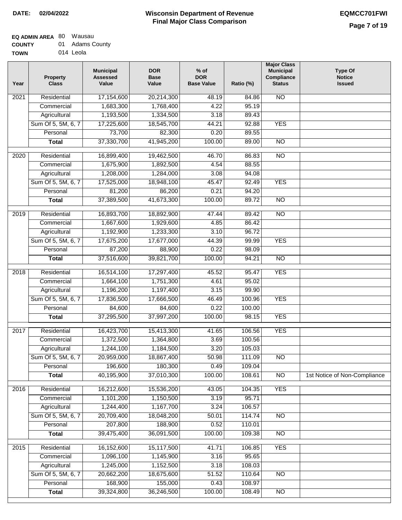### **EQ ADMIN AREA** 80 Wausau

| <b>COUNTY</b> |  | 01 Adams County |
|---------------|--|-----------------|
|---------------|--|-----------------|

**TOWN** 014 Leola

| Year | <b>Property</b><br><b>Class</b> | <b>Municipal</b><br><b>Assessed</b><br>Value | <b>DOR</b><br><b>Base</b><br>Value | $%$ of<br><b>DOR</b><br><b>Base Value</b> | Ratio (%)      | <b>Major Class</b><br><b>Municipal</b><br>Compliance<br><b>Status</b> | <b>Type Of</b><br><b>Notice</b><br><b>Issued</b> |
|------|---------------------------------|----------------------------------------------|------------------------------------|-------------------------------------------|----------------|-----------------------------------------------------------------------|--------------------------------------------------|
| 2021 | Residential                     | 17,154,600                                   | 20,214,300                         | 48.19                                     | 84.86          | N <sub>O</sub>                                                        |                                                  |
|      | Commercial                      | 1,683,300                                    | 1,768,400                          | 4.22                                      | 95.19          |                                                                       |                                                  |
|      | Agricultural                    | 1,193,500                                    | 1,334,500                          | 3.18                                      | 89.43          |                                                                       |                                                  |
|      | Sum Of 5, 5M, 6, 7              | 17,225,600                                   | 18,545,700                         | 44.21                                     | 92.88          | <b>YES</b>                                                            |                                                  |
|      | Personal                        | 73,700                                       | 82,300                             | 0.20                                      | 89.55          |                                                                       |                                                  |
|      | <b>Total</b>                    | 37,330,700                                   | 41,945,200                         | 100.00                                    | 89.00          | $\overline{NO}$                                                       |                                                  |
|      |                                 |                                              |                                    |                                           |                |                                                                       |                                                  |
| 2020 | Residential                     | 16,899,400                                   | 19,462,500                         | 46.70                                     | 86.83          | $\overline{NO}$                                                       |                                                  |
|      | Commercial                      | 1,675,900                                    | 1,892,500                          | 4.54                                      | 88.55          |                                                                       |                                                  |
|      | Agricultural                    | 1,208,000                                    | 1,284,000                          | 3.08                                      | 94.08          |                                                                       |                                                  |
|      | Sum Of 5, 5M, 6, 7              | 17,525,000                                   | 18,948,100                         | 45.47                                     | 92.49          | <b>YES</b>                                                            |                                                  |
|      | Personal                        | 81,200                                       | 86,200                             | 0.21                                      | 94.20          |                                                                       |                                                  |
|      | <b>Total</b>                    | 37,389,500                                   | 41,673,300                         | 100.00                                    | 89.72          | $\overline{NO}$                                                       |                                                  |
| 2019 | Residential                     | 16,893,700                                   | 18,892,900                         | 47.44                                     | 89.42          | $\overline{NO}$                                                       |                                                  |
|      | Commercial                      | 1,667,600                                    | 1,929,600                          | 4.85                                      | 86.42          |                                                                       |                                                  |
|      | Agricultural                    | 1,192,900                                    | 1,233,300                          | 3.10                                      | 96.72          |                                                                       |                                                  |
|      | Sum Of 5, 5M, 6, 7              | 17,675,200                                   | 17,677,000                         | 44.39                                     | 99.99          | <b>YES</b>                                                            |                                                  |
|      | Personal                        | 87,200                                       | 88,900                             | 0.22                                      | 98.09          |                                                                       |                                                  |
|      | <b>Total</b>                    | 37,516,600                                   | 39,821,700                         | 100.00                                    | 94.21          | $\overline{N}$                                                        |                                                  |
|      |                                 |                                              |                                    |                                           |                |                                                                       |                                                  |
| 2018 | Residential<br>Commercial       | 16,514,100<br>1,664,100                      | 17,297,400<br>1,751,300            | 45.52<br>4.61                             | 95.47<br>95.02 | <b>YES</b>                                                            |                                                  |
|      | Agricultural                    | 1,196,200                                    | 1,197,400                          | 3.15                                      | 99.90          |                                                                       |                                                  |
|      | Sum Of 5, 5M, 6, 7              | 17,836,500                                   | 17,666,500                         | 46.49                                     | 100.96         | <b>YES</b>                                                            |                                                  |
|      | Personal                        | 84,600                                       | 84,600                             | 0.22                                      | 100.00         |                                                                       |                                                  |
|      | <b>Total</b>                    | 37,295,500                                   | 37,997,200                         | 100.00                                    | 98.15          | <b>YES</b>                                                            |                                                  |
|      |                                 |                                              |                                    |                                           |                |                                                                       |                                                  |
| 2017 | Residential                     | 16,423,700                                   | 15,413,300                         | 41.65                                     | 106.56         | <b>YES</b>                                                            |                                                  |
|      | Commercial                      | 1,372,500                                    | 1,364,800                          | 3.69                                      | 100.56         |                                                                       |                                                  |
|      | Agricultural                    | 1,244,100                                    | 1,184,500                          | 3.20                                      | 105.03         |                                                                       |                                                  |
|      | Sum Of 5, 5M, 6, 7              | 20,959,000                                   | 18,867,400                         | 50.98                                     | 111.09         | N <sub>O</sub>                                                        |                                                  |
|      | Personal                        | 196,600                                      | 180,300                            | 0.49                                      | 109.04         |                                                                       |                                                  |
|      | <b>Total</b>                    | 40,195,900                                   | 37,010,300                         | 100.00                                    | 108.61         | N <sub>O</sub>                                                        | 1st Notice of Non-Compliance                     |
| 2016 | Residential                     | 16,212,600                                   | 15,536,200                         | 43.05                                     | 104.35         | <b>YES</b>                                                            |                                                  |
|      | Commercial                      | 1,101,200                                    | 1,150,500                          | 3.19                                      | 95.71          |                                                                       |                                                  |
|      | Agricultural                    | 1,244,400                                    | 1,167,700                          | 3.24                                      | 106.57         |                                                                       |                                                  |
|      | Sum Of 5, 5M, 6, 7              | 20,709,400                                   | 18,048,200                         | 50.01                                     | 114.74         | $\overline{NO}$                                                       |                                                  |
|      | Personal                        | 207,800                                      | 188,900                            | 0.52                                      | 110.01         |                                                                       |                                                  |
|      | <b>Total</b>                    | 39,475,400                                   | 36,091,500                         | 100.00                                    | 109.38         | N <sub>O</sub>                                                        |                                                  |
| 2015 | Residential                     | 16,152,600                                   | 15,117,500                         | 41.71                                     | 106.85         | <b>YES</b>                                                            |                                                  |
|      | Commercial                      | 1,096,100                                    | 1,145,900                          | 3.16                                      | 95.65          |                                                                       |                                                  |
|      | Agricultural                    | 1,245,000                                    | 1,152,500                          | 3.18                                      | 108.03         |                                                                       |                                                  |
|      | Sum Of 5, 5M, 6, 7              | 20,662,200                                   | 18,675,600                         | 51.52                                     | 110.64         | $\overline{NO}$                                                       |                                                  |
|      | Personal                        | 168,900                                      | 155,000                            | 0.43                                      | 108.97         |                                                                       |                                                  |
|      | <b>Total</b>                    | 39,324,800                                   | 36,246,500                         | 100.00                                    | 108.49         | N <sub>O</sub>                                                        |                                                  |
|      |                                 |                                              |                                    |                                           |                |                                                                       |                                                  |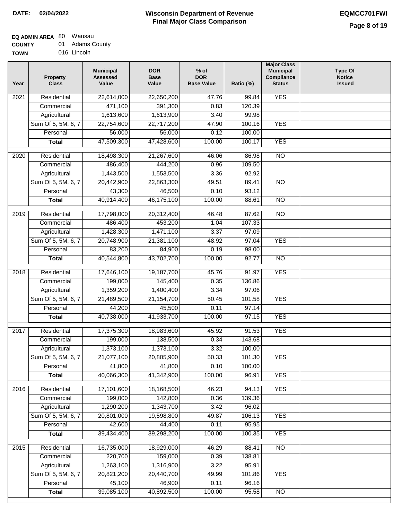### **Wisconsin Department of Revenue DATE: 02/04/2022 EQMCC701FWI Final Major Class Comparison**

**Type Of Notice Issued**

### **EQ ADMIN AREA** 80 Wausau

**COUNTY** TO 01 Adams County

| <b>TOWN</b>       | 016 Lincoln                     |                                              |                                    |                                           |           |                                                                              |  |  |  |  |  |
|-------------------|---------------------------------|----------------------------------------------|------------------------------------|-------------------------------------------|-----------|------------------------------------------------------------------------------|--|--|--|--|--|
| Year              | <b>Property</b><br><b>Class</b> | <b>Municipal</b><br><b>Assessed</b><br>Value | <b>DOR</b><br><b>Base</b><br>Value | $%$ of<br><b>DOR</b><br><b>Base Value</b> | Ratio (%) | <b>Major Class</b><br><b>Municipal</b><br><b>Compliance</b><br><b>Status</b> |  |  |  |  |  |
| 2021              | Residential                     | 22,614,000                                   | 22,650,200                         | 47.76                                     | 99.84     | <b>YES</b>                                                                   |  |  |  |  |  |
|                   | Commercial                      | 471,100                                      | 391,300                            | 0.83                                      | 120.39    |                                                                              |  |  |  |  |  |
|                   | Agricultural                    | 1,613,600                                    | 1,613,900                          | 3.40                                      | 99.98     |                                                                              |  |  |  |  |  |
|                   | Sum Of 5, 5M, 6, 7              | 22,754,600                                   | 22,717,200                         | 47.90                                     | 100.16    | <b>YES</b>                                                                   |  |  |  |  |  |
|                   | Personal                        | 56,000                                       | 56,000                             | 0.12                                      | 100.00    |                                                                              |  |  |  |  |  |
|                   | <b>Total</b>                    | 47,509,300                                   | 47,428,600                         | 100.00                                    | 100.17    | <b>YES</b>                                                                   |  |  |  |  |  |
| 2020              | Residential                     | 18,498,300                                   | 21,267,600                         | 46.06                                     | 86.98     | $\overline{NO}$                                                              |  |  |  |  |  |
|                   | Commercial                      | 486,400                                      | 444,200                            | 0.96                                      | 109.50    |                                                                              |  |  |  |  |  |
|                   | Agricultural                    | 1,443,500                                    | 1,553,500                          | 3.36                                      | 92.92     |                                                                              |  |  |  |  |  |
|                   | Sum Of 5, 5M, 6, 7              | 20,442,900                                   | 22,863,300                         | 49.51                                     | 89.41     | $\overline{NO}$                                                              |  |  |  |  |  |
|                   | Personal                        | 43,300                                       | 46,500                             | 0.10                                      | 93.12     |                                                                              |  |  |  |  |  |
|                   |                                 |                                              |                                    |                                           |           |                                                                              |  |  |  |  |  |
|                   | <b>Total</b>                    | 40,914,400                                   | 46,175,100                         | 100.00                                    | 88.61     | <b>NO</b>                                                                    |  |  |  |  |  |
| 2019              | Residential                     | 17,798,000                                   | 20,312,400                         | 46.48                                     | 87.62     | <b>NO</b>                                                                    |  |  |  |  |  |
|                   | Commercial                      | 486,400                                      | 453,200                            | 1.04                                      | 107.33    |                                                                              |  |  |  |  |  |
|                   | Agricultural                    | 1,428,300                                    | 1,471,100                          | 3.37                                      | 97.09     |                                                                              |  |  |  |  |  |
|                   | Sum Of 5, 5M, 6, 7              | 20,748,900                                   | 21,381,100                         | 48.92                                     | 97.04     | <b>YES</b>                                                                   |  |  |  |  |  |
|                   | Personal                        | 83,200                                       | 84,900                             | 0.19                                      | 98.00     |                                                                              |  |  |  |  |  |
|                   | <b>Total</b>                    | 40,544,800                                   | 43,702,700                         | 100.00                                    | 92.77     | $\overline{NO}$                                                              |  |  |  |  |  |
| $\overline{20}18$ | Residential                     | 17,646,100                                   | 19,187,700                         | 45.76                                     | 91.97     | <b>YES</b>                                                                   |  |  |  |  |  |
|                   | Commercial                      | 199,000                                      | 145,400                            | 0.35                                      | 136.86    |                                                                              |  |  |  |  |  |
|                   | Agricultural                    | 1,359,200                                    | 1,400,400                          | 3.34                                      | 97.06     |                                                                              |  |  |  |  |  |

|                   | Commercial         | 199,000    | 145,400    | 0.35   | 136.86 |            |  |
|-------------------|--------------------|------------|------------|--------|--------|------------|--|
|                   | Agricultural       | 1,359,200  | 1,400,400  | 3.34   | 97.06  |            |  |
|                   | Sum Of 5, 5M, 6, 7 | 21,489,500 | 21,154,700 | 50.45  | 101.58 | <b>YES</b> |  |
|                   | Personal           | 44,200     | 45,500     | 0.11   | 97.14  |            |  |
|                   | <b>Total</b>       | 40,738,000 | 41,933,700 | 100.00 | 97.15  | <b>YES</b> |  |
|                   |                    |            |            |        |        |            |  |
| 2017              | Residential        | 17,375,300 | 18,983,600 | 45.92  | 91.53  | <b>YES</b> |  |
|                   | Commercial         | 199,000    | 138,500    | 0.34   | 143.68 |            |  |
|                   | Agricultural       | 1,373,100  | 1,373,100  | 3.32   | 100.00 |            |  |
|                   | Sum Of 5, 5M, 6, 7 | 21,077,100 | 20,805,900 | 50.33  | 101.30 | <b>YES</b> |  |
|                   | Personal           | 41,800     | 41,800     | 0.10   | 100.00 |            |  |
|                   | <b>Total</b>       | 40,066,300 | 41,342,900 | 100.00 | 96.91  | <b>YES</b> |  |
|                   |                    |            |            |        |        |            |  |
| 2016              | Residential        | 17,101,600 | 18,168,500 | 46.23  | 94.13  | <b>YES</b> |  |
|                   | Commercial         | 199,000    | 142,800    | 0.36   | 139.36 |            |  |
|                   | Agricultural       | 1,290,200  | 1,343,700  | 3.42   | 96.02  |            |  |
|                   | Sum Of 5, 5M, 6, 7 | 20,801,000 | 19,598,800 | 49.87  | 106.13 | <b>YES</b> |  |
|                   | Personal           | 42,600     | 44,400     | 0.11   | 95.95  |            |  |
|                   | <b>Total</b>       | 39,434,400 | 39,298,200 | 100.00 | 100.35 | <b>YES</b> |  |
|                   |                    |            |            |        |        |            |  |
| $\overline{2015}$ | Residential        | 16,735,000 | 18,929,000 | 46.29  | 88.41  | <b>NO</b>  |  |
|                   | Commercial         | 220,700    | 159,000    | 0.39   | 138.81 |            |  |
|                   | Agricultural       | 1,263,100  | 1,316,900  | 3.22   | 95.91  |            |  |
|                   | Sum Of 5, 5M, 6, 7 | 20,821,200 | 20,440,700 | 49.99  | 101.86 | <b>YES</b> |  |
|                   | Personal           | 45,100     | 46,900     | 0.11   | 96.16  |            |  |
|                   | <b>Total</b>       | 39,085,100 | 40,892,500 | 100.00 | 95.58  | <b>NO</b>  |  |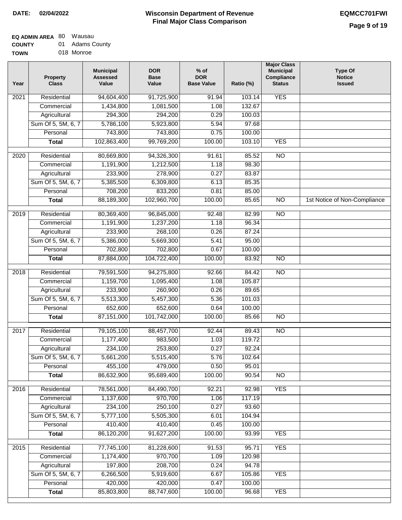## **EQ ADMIN AREA** 80 Wausau

**COUNTY TOWN** 01 Adams County 018 Monroe

| Year | <b>Property</b><br><b>Class</b> | <b>Municipal</b><br><b>Assessed</b><br>Value | <b>DOR</b><br><b>Base</b><br>Value | $%$ of<br><b>DOR</b><br><b>Base Value</b> | Ratio (%) | <b>Major Class</b><br><b>Municipal</b><br>Compliance<br><b>Status</b> | <b>Type Of</b><br><b>Notice</b><br><b>Issued</b> |
|------|---------------------------------|----------------------------------------------|------------------------------------|-------------------------------------------|-----------|-----------------------------------------------------------------------|--------------------------------------------------|
| 2021 | Residential                     | 94,604,400                                   | 91,725,900                         | 91.94                                     | 103.14    | <b>YES</b>                                                            |                                                  |
|      | Commercial                      | 1,434,800                                    | 1,081,500                          | 1.08                                      | 132.67    |                                                                       |                                                  |
|      | Agricultural                    | 294,300                                      | 294,200                            | 0.29                                      | 100.03    |                                                                       |                                                  |
|      | Sum Of 5, 5M, 6, 7              | 5,786,100                                    | 5,923,800                          | 5.94                                      | 97.68     |                                                                       |                                                  |
|      | Personal                        | 743,800                                      | 743,800                            | 0.75                                      | 100.00    |                                                                       |                                                  |
|      | <b>Total</b>                    | 102,863,400                                  | 99,769,200                         | 100.00                                    | 103.10    | <b>YES</b>                                                            |                                                  |
| 2020 | Residential                     | 80,669,800                                   | 94,326,300                         | 91.61                                     | 85.52     | $\overline{NO}$                                                       |                                                  |
|      | Commercial                      | 1,191,900                                    | 1,212,500                          | 1.18                                      | 98.30     |                                                                       |                                                  |
|      | Agricultural                    | 233,900                                      | 278,900                            | 0.27                                      | 83.87     |                                                                       |                                                  |
|      | Sum Of 5, 5M, 6, 7              | 5,385,500                                    | 6,309,800                          | 6.13                                      | 85.35     |                                                                       |                                                  |
|      | Personal                        | 708,200                                      | 833,200                            | 0.81                                      | 85.00     |                                                                       |                                                  |
|      | <b>Total</b>                    | 88,189,300                                   | 102,960,700                        | 100.00                                    | 85.65     | $\overline{NO}$                                                       | 1st Notice of Non-Compliance                     |
| 2019 | Residential                     | 80,369,400                                   | 96,845,000                         | 92.48                                     | 82.99     | $\overline{NO}$                                                       |                                                  |
|      | Commercial                      | 1,191,900                                    | 1,237,200                          | 1.18                                      | 96.34     |                                                                       |                                                  |
|      | Agricultural                    | 233,900                                      | 268,100                            | 0.26                                      | 87.24     |                                                                       |                                                  |
|      | Sum Of 5, 5M, 6, 7              | 5,386,000                                    | 5,669,300                          | 5.41                                      | 95.00     |                                                                       |                                                  |
|      | Personal                        | 702,800                                      | 702,800                            | 0.67                                      | 100.00    |                                                                       |                                                  |
|      | <b>Total</b>                    | 87,884,000                                   | 104,722,400                        | 100.00                                    | 83.92     | $\overline{NO}$                                                       |                                                  |
|      |                                 |                                              |                                    |                                           |           |                                                                       |                                                  |
| 2018 | Residential                     | 79,591,500                                   | 94,275,800                         | 92.66                                     | 84.42     | $\overline{NO}$                                                       |                                                  |
|      | Commercial                      | 1,159,700                                    | 1,095,400                          | 1.08                                      | 105.87    |                                                                       |                                                  |
|      | Agricultural                    | 233,900                                      | 260,900                            | 0.26                                      | 89.65     |                                                                       |                                                  |
|      | Sum Of 5, 5M, 6, 7              | 5,513,300                                    | 5,457,300                          | 5.36                                      | 101.03    |                                                                       |                                                  |
|      | Personal                        | 652,600                                      | 652,600                            | 0.64                                      | 100.00    |                                                                       |                                                  |
|      | <b>Total</b>                    | 87,151,000                                   | 101,742,000                        | 100.00                                    | 85.66     | $\overline{10}$                                                       |                                                  |
| 2017 | Residential                     | 79,105,100                                   | 88,457,700                         | 92.44                                     | 89.43     | $\overline{NO}$                                                       |                                                  |
|      | Commercial                      | 1,177,400                                    | 983,500                            | 1.03                                      | 119.72    |                                                                       |                                                  |
|      | Agricultural                    | 234,100                                      | 253,800                            | 0.27                                      | 92.24     |                                                                       |                                                  |
|      | Sum Of 5, 5M, 6, 7              | 5,661,200                                    | 5,515,400                          | 5.76                                      | 102.64    |                                                                       |                                                  |
|      | Personal                        | 455,100                                      | 479,000                            | 0.50                                      | 95.01     |                                                                       |                                                  |
|      | <b>Total</b>                    | 86,632,900                                   | 95,689,400                         | 100.00                                    | 90.54     | $\overline{N}$                                                        |                                                  |
| 2016 | Residential                     | 78,561,000                                   | 84,490,700                         | 92.21                                     | 92.98     | <b>YES</b>                                                            |                                                  |
|      | Commercial                      | 1,137,600                                    | 970,700                            | 1.06                                      | 117.19    |                                                                       |                                                  |
|      | Agricultural                    | 234,100                                      | 250,100                            | 0.27                                      | 93.60     |                                                                       |                                                  |
|      | Sum Of 5, 5M, 6, 7              | 5,777,100                                    | 5,505,300                          | 6.01                                      | 104.94    |                                                                       |                                                  |
|      | Personal                        | 410,400                                      | 410,400                            | 0.45                                      | 100.00    |                                                                       |                                                  |
|      | <b>Total</b>                    | 86,120,200                                   | 91,627,200                         | 100.00                                    | 93.99     | <b>YES</b>                                                            |                                                  |
| 2015 | Residential                     | 77,745,100                                   | 81,228,600                         | 91.53                                     | 95.71     | <b>YES</b>                                                            |                                                  |
|      | Commercial                      | 1,174,400                                    | 970,700                            | 1.09                                      | 120.98    |                                                                       |                                                  |
|      | Agricultural                    | 197,800                                      | 208,700                            | 0.24                                      | 94.78     |                                                                       |                                                  |
|      | Sum Of 5, 5M, 6, 7              | 6,266,500                                    | 5,919,600                          | 6.67                                      | 105.86    | <b>YES</b>                                                            |                                                  |
|      | Personal                        | 420,000                                      | 420,000                            | 0.47                                      | 100.00    |                                                                       |                                                  |
|      | <b>Total</b>                    | 85,803,800                                   | 88,747,600                         | 100.00                                    | 96.68     | <b>YES</b>                                                            |                                                  |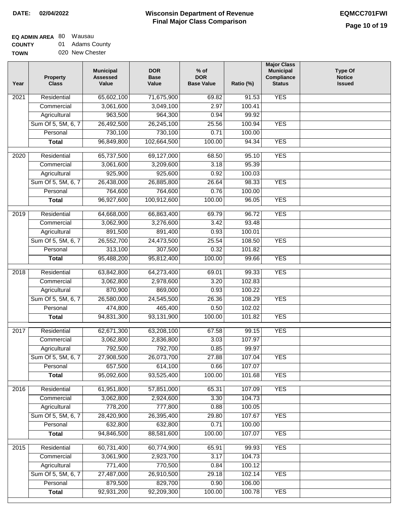**EQ ADMIN AREA** 80 Wausau **COUNTY**

**TOWN** 01 Adams County 020 New Chester

| Year              | <b>Property</b><br><b>Class</b> | <b>Municipal</b><br><b>Assessed</b><br>Value | <b>DOR</b><br><b>Base</b><br>Value | $%$ of<br><b>DOR</b><br><b>Base Value</b> | Ratio (%) | <b>Major Class</b><br><b>Municipal</b><br>Compliance<br><b>Status</b> | <b>Type Of</b><br><b>Notice</b><br><b>Issued</b> |
|-------------------|---------------------------------|----------------------------------------------|------------------------------------|-------------------------------------------|-----------|-----------------------------------------------------------------------|--------------------------------------------------|
| 2021              | Residential                     | 65,602,100                                   | 71,675,900                         | 69.82                                     | 91.53     | <b>YES</b>                                                            |                                                  |
|                   | Commercial                      | 3,061,600                                    | 3,049,100                          | 2.97                                      | 100.41    |                                                                       |                                                  |
|                   | Agricultural                    | 963,500                                      | 964,300                            | 0.94                                      | 99.92     |                                                                       |                                                  |
|                   | Sum Of 5, 5M, 6, 7              | 26,492,500                                   | 26,245,100                         | 25.56                                     | 100.94    | <b>YES</b>                                                            |                                                  |
|                   | Personal                        | 730,100                                      | 730,100                            | 0.71                                      | 100.00    |                                                                       |                                                  |
|                   | <b>Total</b>                    | 96,849,800                                   | 102,664,500                        | 100.00                                    | 94.34     | <b>YES</b>                                                            |                                                  |
| $\overline{2020}$ | Residential                     | 65,737,500                                   | 69,127,000                         | 68.50                                     | 95.10     | <b>YES</b>                                                            |                                                  |
|                   | Commercial                      | 3,061,600                                    | 3,209,600                          | 3.18                                      | 95.39     |                                                                       |                                                  |
|                   | Agricultural                    | 925,900                                      | 925,600                            | 0.92                                      | 100.03    |                                                                       |                                                  |
|                   | Sum Of 5, 5M, 6, 7              | 26,438,000                                   | 26,885,800                         | 26.64                                     | 98.33     | <b>YES</b>                                                            |                                                  |
|                   | Personal                        | 764,600                                      | 764,600                            | 0.76                                      | 100.00    |                                                                       |                                                  |
|                   | <b>Total</b>                    | 96,927,600                                   | 100,912,600                        | 100.00                                    | 96.05     | <b>YES</b>                                                            |                                                  |
|                   |                                 |                                              |                                    |                                           |           |                                                                       |                                                  |
| $\frac{1}{2019}$  | Residential                     | 64,668,000                                   | 66,863,400                         | 69.79                                     | 96.72     | <b>YES</b>                                                            |                                                  |
|                   | Commercial                      | 3,062,900                                    | 3,276,600                          | 3.42                                      | 93.48     |                                                                       |                                                  |
|                   | Agricultural                    | 891,500                                      | 891,400                            | 0.93                                      | 100.01    |                                                                       |                                                  |
|                   | Sum Of 5, 5M, 6, 7              | 26,552,700                                   | 24,473,500                         | 25.54                                     | 108.50    | <b>YES</b>                                                            |                                                  |
|                   | Personal                        | 313,100                                      | 307,500                            | 0.32                                      | 101.82    |                                                                       |                                                  |
|                   | <b>Total</b>                    | 95,488,200                                   | 95,812,400                         | 100.00                                    | 99.66     | <b>YES</b>                                                            |                                                  |
| 2018              | Residential                     | 63,842,800                                   | 64,273,400                         | 69.01                                     | 99.33     | <b>YES</b>                                                            |                                                  |
|                   | Commercial                      | 3,062,800                                    | 2,978,600                          | 3.20                                      | 102.83    |                                                                       |                                                  |
|                   | Agricultural                    | 870,900                                      | 869,000                            | 0.93                                      | 100.22    |                                                                       |                                                  |
|                   | Sum Of 5, 5M, 6, 7              | 26,580,000                                   | 24,545,500                         | 26.36                                     | 108.29    | <b>YES</b>                                                            |                                                  |
|                   | Personal                        | 474,800                                      | 465,400                            | 0.50                                      | 102.02    |                                                                       |                                                  |
|                   | <b>Total</b>                    | 94,831,300                                   | 93,131,900                         | 100.00                                    | 101.82    | <b>YES</b>                                                            |                                                  |
| 2017              | Residential                     | 62,671,300                                   | 63,208,100                         | 67.58                                     | 99.15     | <b>YES</b>                                                            |                                                  |
|                   | Commercial                      | 3,062,800                                    | 2,836,800                          | 3.03                                      | 107.97    |                                                                       |                                                  |
|                   | Agricultural                    | 792,500                                      | 792,700                            | 0.85                                      | 99.97     |                                                                       |                                                  |
|                   | Sum Of 5, 5M, 6, 7              | 27,908,500                                   | 26,073,700                         | 27.88                                     | 107.04    | <b>YES</b>                                                            |                                                  |
|                   | Personal                        | 657,500                                      | 614,100                            | 0.66                                      | 107.07    |                                                                       |                                                  |
|                   | <b>Total</b>                    | 95,092,600                                   | 93,525,400                         | 100.00                                    | 101.68    | <b>YES</b>                                                            |                                                  |
| 2016              | Residential                     | 61,951,800                                   | 57,851,000                         | 65.31                                     | 107.09    | <b>YES</b>                                                            |                                                  |
|                   | Commercial                      | 3,062,800                                    | 2,924,600                          | 3.30                                      | 104.73    |                                                                       |                                                  |
|                   | Agricultural                    | 778,200                                      | 777,800                            | 0.88                                      | 100.05    |                                                                       |                                                  |
|                   | Sum Of 5, 5M, 6, 7              |                                              |                                    | 29.80                                     | 107.67    |                                                                       |                                                  |
|                   | Personal                        | 28,420,900<br>632,800                        | 26,395,400<br>632,800              | 0.71                                      | 100.00    | <b>YES</b>                                                            |                                                  |
|                   | <b>Total</b>                    | 94,846,500                                   | 88,581,600                         | 100.00                                    | 107.07    | <b>YES</b>                                                            |                                                  |
|                   |                                 |                                              |                                    |                                           |           |                                                                       |                                                  |
| 2015              | Residential                     | 60,731,400                                   | 60,774,900                         | 65.91                                     | 99.93     | <b>YES</b>                                                            |                                                  |
|                   | Commercial                      | 3,061,900                                    | 2,923,700                          | 3.17                                      | 104.73    |                                                                       |                                                  |
|                   | Agricultural                    | 771,400                                      | 770,500                            | 0.84                                      | 100.12    |                                                                       |                                                  |
|                   | Sum Of 5, 5M, 6, 7              | 27,487,000                                   | 26,910,500                         | 29.18                                     | 102.14    | <b>YES</b>                                                            |                                                  |
|                   | Personal                        | 879,500                                      | 829,700                            | 0.90                                      | 106.00    |                                                                       |                                                  |
|                   | <b>Total</b>                    | 92,931,200                                   | 92,209,300                         | 100.00                                    | 100.78    | <b>YES</b>                                                            |                                                  |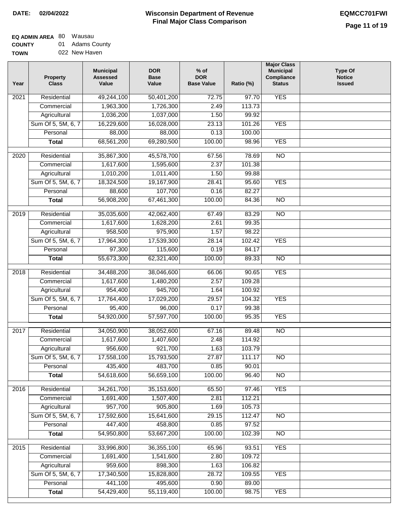# **EQ ADMIN AREA** 80 Wausau

**COUNTY TOWN** 01 Adams County 022 New Haven

| Year | <b>Property</b><br><b>Class</b>    | <b>Municipal</b><br><b>Assessed</b><br>Value | <b>DOR</b><br><b>Base</b><br>Value | $%$ of<br><b>DOR</b><br><b>Base Value</b> | Ratio (%)        | <b>Major Class</b><br><b>Municipal</b><br>Compliance<br><b>Status</b> | <b>Type Of</b><br><b>Notice</b><br><b>Issued</b> |
|------|------------------------------------|----------------------------------------------|------------------------------------|-------------------------------------------|------------------|-----------------------------------------------------------------------|--------------------------------------------------|
| 2021 | Residential                        | 49,244,100                                   | 50,401,200                         | 72.75                                     | 97.70            | <b>YES</b>                                                            |                                                  |
|      | Commercial                         | 1,963,300                                    | 1,726,300                          | 2.49                                      | 113.73           |                                                                       |                                                  |
|      | Agricultural                       | 1,036,200                                    | 1,037,000                          | 1.50                                      | 99.92            |                                                                       |                                                  |
|      | Sum Of 5, 5M, 6, 7                 | 16,229,600                                   | 16,028,000                         | 23.13                                     | 101.26           | <b>YES</b>                                                            |                                                  |
|      | Personal                           | 88,000                                       | 88,000                             | 0.13                                      | 100.00           |                                                                       |                                                  |
|      | <b>Total</b>                       | 68,561,200                                   | 69,280,500                         | 100.00                                    | 98.96            | <b>YES</b>                                                            |                                                  |
| 2020 | Residential                        | 35,867,300                                   | 45,578,700                         | 67.56                                     | 78.69            | $\overline{NO}$                                                       |                                                  |
|      | Commercial                         | 1,617,600                                    | 1,595,600                          | 2.37                                      | 101.38           |                                                                       |                                                  |
|      | Agricultural                       | 1,010,200                                    | 1,011,400                          | 1.50                                      | 99.88            |                                                                       |                                                  |
|      | Sum Of 5, 5M, 6, 7                 | 18,324,500                                   | 19,167,900                         | 28.41                                     | 95.60            | <b>YES</b>                                                            |                                                  |
|      | Personal                           | 88,600                                       | 107,700                            | 0.16                                      | 82.27            |                                                                       |                                                  |
|      | <b>Total</b>                       | 56,908,200                                   | 67,461,300                         | 100.00                                    | 84.36            | $\overline{NO}$                                                       |                                                  |
| 2019 | Residential                        | 35,035,600                                   | 42,062,400                         | 67.49                                     | 83.29            | NO                                                                    |                                                  |
|      | Commercial                         | 1,617,600                                    | 1,628,200                          | 2.61                                      | 99.35            |                                                                       |                                                  |
|      | Agricultural                       | 958,500                                      | 975,900                            | 1.57                                      | 98.22            |                                                                       |                                                  |
|      | Sum Of 5, 5M, 6, 7                 | 17,964,300                                   | 17,539,300                         | 28.14                                     | 102.42           | <b>YES</b>                                                            |                                                  |
|      | Personal                           | 97,300                                       | 115,600                            | 0.19                                      | 84.17            |                                                                       |                                                  |
|      | <b>Total</b>                       | 55,673,300                                   | 62,321,400                         | 100.00                                    | 89.33            | $\overline{NO}$                                                       |                                                  |
|      |                                    |                                              |                                    |                                           |                  |                                                                       |                                                  |
| 2018 | Residential                        | 34,488,200                                   | 38,046,600                         | 66.06                                     | 90.65            | <b>YES</b>                                                            |                                                  |
|      | Commercial                         | 1,617,600                                    | 1,480,200                          | 2.57                                      | 109.28           |                                                                       |                                                  |
|      | Agricultural                       | 954,400                                      | 945,700                            | 1.64                                      | 100.92           |                                                                       |                                                  |
|      | Sum Of 5, 5M, 6, 7                 | 17,764,400                                   | 17,029,200                         | 29.57                                     | 104.32           | <b>YES</b>                                                            |                                                  |
|      | Personal                           | 95,400                                       | 96,000                             | 0.17                                      | 99.38            |                                                                       |                                                  |
|      | <b>Total</b>                       | 54,920,000                                   | 57,597,700                         | 100.00                                    | 95.35            | <b>YES</b>                                                            |                                                  |
| 2017 | Residential                        | 34,050,900                                   | 38,052,600                         | 67.16                                     | 89.48            | <b>NO</b>                                                             |                                                  |
|      | Commercial                         | 1,617,600                                    | 1,407,600                          | 2.48                                      | 114.92           |                                                                       |                                                  |
|      | Agricultural                       | 956,600                                      | 921,700                            | 1.63                                      | 103.79           |                                                                       |                                                  |
|      | Sum Of 5, 5M, 6, 7                 | 17,558,100                                   | 15,793,500                         | 27.87                                     | 111.17           | <b>NO</b>                                                             |                                                  |
|      | Personal                           | 435,400                                      | 483,700                            | 0.85                                      | 90.01            |                                                                       |                                                  |
|      | <b>Total</b>                       | 54,618,600                                   | 56,659,100                         | 100.00                                    | 96.40            | <b>NO</b>                                                             |                                                  |
| 2016 | Residential                        | 34,261,700                                   | 35,153,600                         | 65.50                                     | 97.46            | <b>YES</b>                                                            |                                                  |
|      | Commercial                         | 1,691,400                                    | 1,507,400                          | 2.81                                      | 112.21           |                                                                       |                                                  |
|      | Agricultural                       | 957,700                                      | 905,800                            | 1.69                                      | 105.73           |                                                                       |                                                  |
|      | Sum Of 5, 5M, 6, 7                 | 17,592,600                                   | 15,641,600                         | 29.15                                     | 112.47           | $\overline{NO}$                                                       |                                                  |
|      | Personal                           | 447,400                                      | 458,800                            | 0.85                                      | 97.52            |                                                                       |                                                  |
|      | <b>Total</b>                       | 54,950,800                                   | 53,667,200                         | 100.00                                    | 102.39           | N <sub>O</sub>                                                        |                                                  |
|      |                                    |                                              |                                    |                                           |                  |                                                                       |                                                  |
| 2015 | Residential                        | 33,996,800                                   | 36, 355, 100                       | 65.96                                     | 93.51            | <b>YES</b>                                                            |                                                  |
|      | Commercial                         | 1,691,400<br>959,600                         | 1,541,600<br>898,300               | 2.80<br>1.63                              | 109.72<br>106.82 |                                                                       |                                                  |
|      | Agricultural<br>Sum Of 5, 5M, 6, 7 | 17,340,500                                   | 15,828,800                         | 28.72                                     | 109.55           | <b>YES</b>                                                            |                                                  |
|      | Personal                           | 441,100                                      | 495,600                            | 0.90                                      | 89.00            |                                                                       |                                                  |
|      | <b>Total</b>                       | 54,429,400                                   | 55,119,400                         | 100.00                                    | 98.75            | <b>YES</b>                                                            |                                                  |
|      |                                    |                                              |                                    |                                           |                  |                                                                       |                                                  |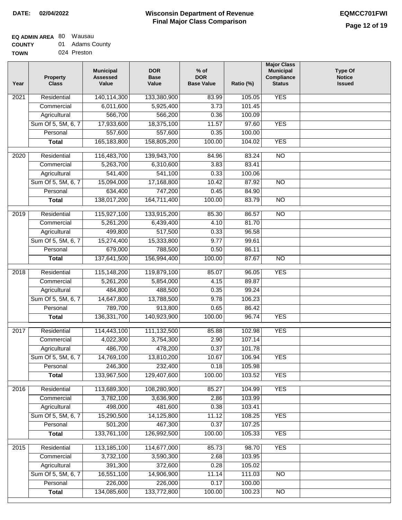## **EQ ADMIN AREA** 80 Wausau

**COUNTY TOWN** 01 Adams County 024 Preston

| Year              | <b>Property</b><br><b>Class</b>    | <b>Municipal</b><br><b>Assessed</b><br>Value | <b>DOR</b><br><b>Base</b><br>Value | $%$ of<br><b>DOR</b><br><b>Base Value</b> | Ratio (%)        | <b>Major Class</b><br><b>Municipal</b><br>Compliance<br><b>Status</b> | <b>Type Of</b><br><b>Notice</b><br><b>Issued</b> |
|-------------------|------------------------------------|----------------------------------------------|------------------------------------|-------------------------------------------|------------------|-----------------------------------------------------------------------|--------------------------------------------------|
| $\overline{2021}$ | Residential                        | 140,114,300                                  | 133,380,900                        | 83.99                                     | 105.05           | <b>YES</b>                                                            |                                                  |
|                   | Commercial                         | 6,011,600                                    | 5,925,400                          | 3.73                                      | 101.45           |                                                                       |                                                  |
|                   | Agricultural                       | 566,700                                      | 566,200                            | 0.36                                      | 100.09           |                                                                       |                                                  |
|                   | Sum Of 5, 5M, 6, 7                 | 17,933,600                                   | 18,375,100                         | 11.57                                     | 97.60            | <b>YES</b>                                                            |                                                  |
|                   | Personal                           | 557,600                                      | 557,600                            | 0.35                                      | 100.00           |                                                                       |                                                  |
|                   | <b>Total</b>                       | 165,183,800                                  | 158,805,200                        | 100.00                                    | 104.02           | <b>YES</b>                                                            |                                                  |
| 2020              | Residential                        | 116,483,700                                  | 139,943,700                        | 84.96                                     | 83.24            | N <sub>O</sub>                                                        |                                                  |
|                   | Commercial                         | 5,263,700                                    | 6,310,600                          | 3.83                                      | 83.41            |                                                                       |                                                  |
|                   | Agricultural                       | 541,400                                      | 541,100                            | 0.33                                      | 100.06           |                                                                       |                                                  |
|                   | Sum Of 5, 5M, 6, 7                 | 15,094,000                                   | 17,168,800                         | 10.42                                     | 87.92            | <b>NO</b>                                                             |                                                  |
|                   | Personal                           | 634,400                                      | 747,200                            | 0.45                                      | 84.90            |                                                                       |                                                  |
|                   | <b>Total</b>                       | 138,017,200                                  | 164,711,400                        | 100.00                                    | 83.79            | $\overline{NO}$                                                       |                                                  |
| $\overline{2019}$ | Residential                        | 115,927,100                                  | 133,915,200                        | 85.30                                     | 86.57            | <b>NO</b>                                                             |                                                  |
|                   | Commercial                         | 5,261,200                                    | 6,439,400                          | 4.10                                      | 81.70            |                                                                       |                                                  |
|                   | Agricultural                       | 499,800                                      | 517,500                            | 0.33                                      | 96.58            |                                                                       |                                                  |
|                   | Sum Of 5, 5M, 6, 7                 | 15,274,400                                   | 15,333,800                         | 9.77                                      | 99.61            |                                                                       |                                                  |
|                   | Personal                           | 679,000                                      | 788,500                            | 0.50                                      | 86.11            |                                                                       |                                                  |
|                   | <b>Total</b>                       | 137,641,500                                  | 156,994,400                        | 100.00                                    | 87.67            | $\overline{NO}$                                                       |                                                  |
| $\overline{2018}$ | Residential                        | 115,148,200                                  | 119,879,100                        | 85.07                                     | 96.05            | <b>YES</b>                                                            |                                                  |
|                   | Commercial                         | 5,261,200                                    | 5,854,000                          | 4.15                                      | 89.87            |                                                                       |                                                  |
|                   | Agricultural                       | 484,800                                      | 488,500                            | 0.35                                      | 99.24            |                                                                       |                                                  |
|                   | Sum Of 5, 5M, 6, 7                 | 14,647,800                                   | 13,788,500                         | 9.78                                      | 106.23           |                                                                       |                                                  |
|                   | Personal                           | 789,700                                      | 913,800                            | 0.65                                      | 86.42            |                                                                       |                                                  |
|                   | <b>Total</b>                       | 136,331,700                                  | 140,923,900                        | 100.00                                    | 96.74            | <b>YES</b>                                                            |                                                  |
|                   |                                    |                                              |                                    |                                           |                  |                                                                       |                                                  |
| 2017              | Residential                        | 114,443,100                                  | 111,132,500                        | 85.88                                     | 102.98           | <b>YES</b>                                                            |                                                  |
|                   | Commercial                         | 4,022,300                                    | 3,754,300                          | 2.90<br>0.37                              | 107.14<br>101.78 |                                                                       |                                                  |
|                   | Agricultural<br>Sum Of 5, 5M, 6, 7 | 486,700<br>14,769,100                        | 478,200<br>13,810,200              | 10.67                                     | 106.94           | <b>YES</b>                                                            |                                                  |
|                   | Personal                           | 246,300                                      | 232,400                            | 0.18                                      | 105.98           |                                                                       |                                                  |
|                   | <b>Total</b>                       | 133,967,500                                  | 129,407,600                        | 100.00                                    | 103.52           | <b>YES</b>                                                            |                                                  |
|                   |                                    |                                              |                                    |                                           |                  |                                                                       |                                                  |
| $\overline{2016}$ | Residential                        | 113,689,300                                  | 108,280,900                        | 85.27                                     | 104.99           | <b>YES</b>                                                            |                                                  |
|                   | Commercial                         | 3,782,100                                    | 3,636,900                          | 2.86                                      | 103.99           |                                                                       |                                                  |
|                   | Agricultural                       | 498,000                                      | 481,600                            | 0.38                                      | 103.41           |                                                                       |                                                  |
|                   | Sum Of 5, 5M, 6, 7                 | 15,290,500                                   | 14,125,800                         | 11.12                                     | 108.25           | <b>YES</b>                                                            |                                                  |
|                   | Personal                           | 501,200                                      | 467,300                            | 0.37                                      | 107.25           |                                                                       |                                                  |
|                   | <b>Total</b>                       | 133,761,100                                  | 126,992,500                        | 100.00                                    | 105.33           | <b>YES</b>                                                            |                                                  |
| $\overline{2015}$ | Residential                        | 113,185,100                                  | 114,677,000                        | 85.73                                     | 98.70            | <b>YES</b>                                                            |                                                  |
|                   | Commercial                         | 3,732,100                                    | 3,590,300                          | 2.68                                      | 103.95           |                                                                       |                                                  |
|                   | Agricultural                       | 391,300                                      | 372,600                            | 0.28                                      | 105.02           |                                                                       |                                                  |
|                   | Sum Of 5, 5M, 6, 7                 | 16,551,100                                   | 14,906,900                         | 11.14                                     | 111.03           | $\overline{NO}$                                                       |                                                  |
|                   | Personal                           | 226,000                                      | 226,000                            | 0.17                                      | 100.00           |                                                                       |                                                  |
|                   | <b>Total</b>                       | 134,085,600                                  | 133,772,800                        | 100.00                                    | 100.23           | N <sub>O</sub>                                                        |                                                  |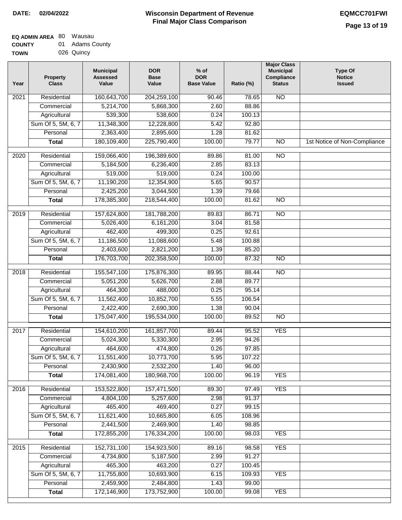| --------    |            |
|-------------|------------|
| <b>TOWN</b> | 026 Quincy |

| Year              | <b>Property</b><br><b>Class</b> | <b>Municipal</b><br><b>Assessed</b><br>Value | <b>DOR</b><br><b>Base</b><br>Value | $%$ of<br><b>DOR</b><br><b>Base Value</b> | Ratio (%) | <b>Major Class</b><br><b>Municipal</b><br>Compliance<br><b>Status</b> | <b>Type Of</b><br><b>Notice</b><br><b>Issued</b> |
|-------------------|---------------------------------|----------------------------------------------|------------------------------------|-------------------------------------------|-----------|-----------------------------------------------------------------------|--------------------------------------------------|
| $\overline{202}1$ | Residential                     | 160,643,700                                  | 204,259,100                        | 90.46                                     | 78.65     | <b>NO</b>                                                             |                                                  |
|                   | Commercial                      | 5,214,700                                    | 5,868,300                          | 2.60                                      | 88.86     |                                                                       |                                                  |
|                   | Agricultural                    | 539,300                                      | 538,600                            | 0.24                                      | 100.13    |                                                                       |                                                  |
|                   | Sum Of 5, 5M, 6, 7              | 11,348,300                                   | 12,228,800                         | 5.42                                      | 92.80     |                                                                       |                                                  |
|                   | Personal                        | 2,363,400                                    | 2,895,600                          | 1.28                                      | 81.62     |                                                                       |                                                  |
|                   | <b>Total</b>                    | 180,109,400                                  | 225,790,400                        | 100.00                                    | 79.77     | $\overline{NO}$                                                       | 1st Notice of Non-Compliance                     |
| $\overline{2020}$ | Residential                     | 159,066,400                                  | 196,389,600                        | 89.86                                     | 81.00     | $\overline{10}$                                                       |                                                  |
|                   | Commercial                      | 5,184,500                                    | 6,236,400                          | 2.85                                      | 83.13     |                                                                       |                                                  |
|                   | Agricultural                    | 519,000                                      | 519,000                            | 0.24                                      | 100.00    |                                                                       |                                                  |
|                   | Sum Of 5, 5M, 6, 7              | 11,190,200                                   | 12,354,900                         | 5.65                                      | 90.57     |                                                                       |                                                  |
|                   | Personal                        | 2,425,200                                    | 3,044,500                          | 1.39                                      | 79.66     |                                                                       |                                                  |
|                   | <b>Total</b>                    | 178,385,300                                  | 218,544,400                        | 100.00                                    | 81.62     | $\overline{NO}$                                                       |                                                  |
| 2019              | Residential                     | 157,624,800                                  | 181,788,200                        | 89.83                                     | 86.71     | $\overline{10}$                                                       |                                                  |
|                   | Commercial                      | 5,026,400                                    | 6,161,200                          | 3.04                                      | 81.58     |                                                                       |                                                  |
|                   | Agricultural                    | 462,400                                      | 499,300                            | 0.25                                      | 92.61     |                                                                       |                                                  |
|                   | Sum Of 5, 5M, 6, 7              | 11,186,500                                   | 11,088,600                         | 5.48                                      | 100.88    |                                                                       |                                                  |
|                   | Personal                        | 2,403,600                                    | 2,821,200                          | 1.39                                      | 85.20     |                                                                       |                                                  |
|                   | <b>Total</b>                    | 176,703,700                                  | 202,358,500                        | 100.00                                    | 87.32     | $\overline{NO}$                                                       |                                                  |
| 2018              | Residential                     | 155,547,100                                  | 175,876,300                        | 89.95                                     | 88.44     | $\overline{10}$                                                       |                                                  |
|                   | Commercial                      | 5,051,200                                    | 5,626,700                          | 2.88                                      | 89.77     |                                                                       |                                                  |
|                   | Agricultural                    | 464,300                                      | 488,000                            | 0.25                                      | 95.14     |                                                                       |                                                  |
|                   | Sum Of 5, 5M, 6, 7              | 11,562,400                                   | 10,852,700                         | 5.55                                      | 106.54    |                                                                       |                                                  |
|                   | Personal                        | 2,422,400                                    | 2,690,300                          | 1.38                                      | 90.04     |                                                                       |                                                  |
|                   | <b>Total</b>                    | 175,047,400                                  | 195,534,000                        | 100.00                                    | 89.52     | <b>NO</b>                                                             |                                                  |
| 2017              | Residential                     | 154,610,200                                  | 161,857,700                        | 89.44                                     | 95.52     | <b>YES</b>                                                            |                                                  |
|                   | Commercial                      | 5,024,300                                    | 5,330,300                          | 2.95                                      | 94.26     |                                                                       |                                                  |
|                   | Agricultural                    | 464,600                                      | 474,800                            | 0.26                                      | 97.85     |                                                                       |                                                  |
|                   | Sum Of 5, 5M, 6, 7              | 11,551,400                                   | 10,773,700                         | 5.95                                      | 107.22    |                                                                       |                                                  |
|                   | Personal                        | 2,430,900                                    | 2,532,200                          | 1.40                                      | 96.00     |                                                                       |                                                  |
|                   | <b>Total</b>                    | 174,081,400                                  | 180,968,700                        | 100.00                                    | 96.19     | <b>YES</b>                                                            |                                                  |
| 2016              | Residential                     | 153,522,800                                  | 157,471,500                        | 89.30                                     | 97.49     | <b>YES</b>                                                            |                                                  |
|                   | Commercial                      | 4,804,100                                    | 5,257,600                          | 2.98                                      | 91.37     |                                                                       |                                                  |
|                   | Agricultural                    | 465,400                                      | 469,400                            | 0.27                                      | 99.15     |                                                                       |                                                  |
|                   | Sum Of 5, 5M, 6, 7              | 11,621,400                                   | 10,665,800                         | 6.05                                      | 108.96    |                                                                       |                                                  |
|                   | Personal                        | 2,441,500                                    | 2,469,900                          | 1.40                                      | 98.85     |                                                                       |                                                  |
|                   | <b>Total</b>                    | 172,855,200                                  | 176,334,200                        | 100.00                                    | 98.03     | <b>YES</b>                                                            |                                                  |
| 2015              | Residential                     | 152,731,100                                  | 154,923,500                        | 89.16                                     | 98.58     | <b>YES</b>                                                            |                                                  |
|                   | Commercial                      | 4,734,800                                    | 5,187,500                          | 2.99                                      | 91.27     |                                                                       |                                                  |
|                   | Agricultural                    | 465,300                                      | 463,200                            | 0.27                                      | 100.45    |                                                                       |                                                  |
|                   | Sum Of 5, 5M, 6, 7              | 11,755,800                                   | 10,693,900                         | 6.15                                      | 109.93    | <b>YES</b>                                                            |                                                  |
|                   | Personal                        | 2,459,900                                    | 2,484,800                          | 1.43                                      | 99.00     |                                                                       |                                                  |
|                   | <b>Total</b>                    | 172,146,900                                  | 173,752,900                        | 100.00                                    | 99.08     | <b>YES</b>                                                            |                                                  |
|                   |                                 |                                              |                                    |                                           |           |                                                                       |                                                  |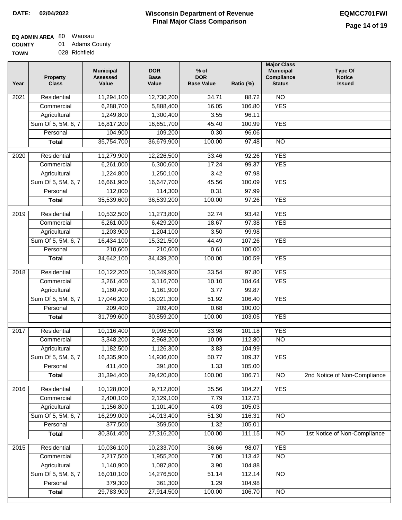#### **Wisconsin Department of Revenue Final Major Class Comparison DATE: 02/04/2022 EQMCC701FWI**

٦

#### **EQ ADMIN AREA** 80 Wausau **COUNTY** 01 Adams County

**TOWN** 028 Richfield

| Year             | <b>Property</b><br><b>Class</b> | <b>Municipal</b><br><b>Assessed</b><br>Value | <b>DOR</b><br><b>Base</b><br>Value | $%$ of<br><b>DOR</b><br><b>Base Value</b> | Ratio (%) | <b>Major Class</b><br><b>Municipal</b><br>Compliance<br><b>Status</b> | <b>Type Of</b><br><b>Notice</b><br><b>Issued</b> |
|------------------|---------------------------------|----------------------------------------------|------------------------------------|-------------------------------------------|-----------|-----------------------------------------------------------------------|--------------------------------------------------|
| 2021             | Residential                     | 11,294,100                                   | 12,730,200                         | 34.71                                     | 88.72     | <b>NO</b>                                                             |                                                  |
|                  | Commercial                      | 6,288,700                                    | 5,888,400                          | 16.05                                     | 106.80    | <b>YES</b>                                                            |                                                  |
|                  | Agricultural                    | 1,249,800                                    | 1,300,400                          | 3.55                                      | 96.11     |                                                                       |                                                  |
|                  | Sum Of 5, 5M, 6, 7              | 16,817,200                                   | 16,651,700                         | 45.40                                     | 100.99    | <b>YES</b>                                                            |                                                  |
|                  | Personal                        | 104,900                                      | 109,200                            | 0.30                                      | 96.06     |                                                                       |                                                  |
|                  | <b>Total</b>                    | 35,754,700                                   | 36,679,900                         | 100.00                                    | 97.48     | $\overline{NO}$                                                       |                                                  |
| $\frac{1}{2020}$ | Residential                     | 11,279,900                                   | 12,226,500                         | 33.46                                     | 92.26     | <b>YES</b>                                                            |                                                  |
|                  | Commercial                      | 6,261,000                                    | 6,300,600                          | 17.24                                     | 99.37     | <b>YES</b>                                                            |                                                  |
|                  | Agricultural                    | 1,224,800                                    | 1,250,100                          | 3.42                                      | 97.98     |                                                                       |                                                  |
|                  | Sum Of 5, 5M, 6, 7              | 16,661,900                                   | 16,647,700                         | 45.56                                     | 100.09    | <b>YES</b>                                                            |                                                  |
|                  | Personal                        | 112,000                                      | 114,300                            | 0.31                                      | 97.99     |                                                                       |                                                  |
|                  | <b>Total</b>                    | 35,539,600                                   | 36,539,200                         | 100.00                                    | 97.26     | <b>YES</b>                                                            |                                                  |
|                  |                                 |                                              |                                    |                                           |           |                                                                       |                                                  |
| $\frac{1}{2019}$ | Residential                     | 10,532,500                                   | 11,273,800                         | 32.74                                     | 93.42     | <b>YES</b>                                                            |                                                  |
|                  | Commercial                      | 6,261,000                                    | 6,429,200                          | 18.67                                     | 97.38     | <b>YES</b>                                                            |                                                  |
|                  | Agricultural                    | 1,203,900                                    | 1,204,100                          | 3.50                                      | 99.98     |                                                                       |                                                  |
|                  | Sum Of 5, 5M, 6, 7              | 16,434,100                                   | 15,321,500                         | 44.49                                     | 107.26    | <b>YES</b>                                                            |                                                  |
|                  | Personal                        | 210,600                                      | 210,600                            | 0.61                                      | 100.00    |                                                                       |                                                  |
|                  | <b>Total</b>                    | 34,642,100                                   | 34,439,200                         | 100.00                                    | 100.59    | <b>YES</b>                                                            |                                                  |
| 2018             | Residential                     | 10,122,200                                   | 10,349,900                         | 33.54                                     | 97.80     | <b>YES</b>                                                            |                                                  |
|                  | Commercial                      | 3,261,400                                    | 3,116,700                          | 10.10                                     | 104.64    | <b>YES</b>                                                            |                                                  |
|                  | Agricultural                    | 1,160,400                                    | 1,161,900                          | 3.77                                      | 99.87     |                                                                       |                                                  |
|                  | Sum Of 5, 5M, 6, 7              | 17,046,200                                   | 16,021,300                         | 51.92                                     | 106.40    | <b>YES</b>                                                            |                                                  |
|                  | Personal                        | 209,400                                      | 209,400                            | 0.68                                      | 100.00    |                                                                       |                                                  |
|                  | <b>Total</b>                    | 31,799,600                                   | 30,859,200                         | 100.00                                    | 103.05    | <b>YES</b>                                                            |                                                  |
| 2017             | Residential                     | 10,116,400                                   | 9,998,500                          | 33.98                                     | 101.18    | <b>YES</b>                                                            |                                                  |
|                  | Commercial                      | 3,348,200                                    | 2,968,200                          | 10.09                                     | 112.80    | N <sub>O</sub>                                                        |                                                  |
|                  | Agricultural                    | 1,182,500                                    | 1,126,300                          | 3.83                                      | 104.99    |                                                                       |                                                  |
|                  | Sum Of 5, 5M, 6, 7              | 16,335,900                                   | 14,936,000                         | 50.77                                     | 109.37    | <b>YES</b>                                                            |                                                  |
|                  | Personal                        | 411,400                                      | 391,800                            | 1.33                                      | 105.00    |                                                                       |                                                  |
|                  | <b>Total</b>                    | 31,394,400                                   | 29,420,800                         | 100.00                                    | 106.71    | N <sub>O</sub>                                                        | 2nd Notice of Non-Compliance                     |
| 2016             | Residential                     | 10,128,000                                   | 9,712,800                          | 35.56                                     | 104.27    | <b>YES</b>                                                            |                                                  |
|                  | Commercial                      | 2,400,100                                    | 2,129,100                          | 7.79                                      | 112.73    |                                                                       |                                                  |
|                  | Agricultural                    | 1,156,800                                    | 1,101,400                          | 4.03                                      | 105.03    |                                                                       |                                                  |
|                  | Sum Of 5, 5M, 6, 7              | 16,299,000                                   | 14,013,400                         | 51.30                                     | 116.31    | <b>NO</b>                                                             |                                                  |
|                  | Personal                        | 377,500                                      | 359,500                            | 1.32                                      | 105.01    |                                                                       |                                                  |
|                  | <b>Total</b>                    | 30,361,400                                   | 27,316,200                         | 100.00                                    | 111.15    | $\overline{NO}$                                                       | 1st Notice of Non-Compliance                     |
|                  |                                 |                                              |                                    |                                           |           |                                                                       |                                                  |
| 2015             | Residential                     | 10,036,100                                   | 10,233,700                         | 36.66                                     | 98.07     | <b>YES</b>                                                            |                                                  |
|                  | Commercial                      | 2,217,500                                    | 1,955,200                          | 7.00                                      | 113.42    | $\overline{NO}$                                                       |                                                  |
|                  | Agricultural                    | 1,140,900                                    | 1,087,800                          | 3.90                                      | 104.88    |                                                                       |                                                  |
|                  | Sum Of 5, 5M, 6, 7              | 16,010,100                                   | 14,276,500                         | 51.14                                     | 112.14    | $\overline{NO}$                                                       |                                                  |
|                  | Personal                        | 379,300                                      | 361,300                            | 1.29                                      | 104.98    |                                                                       |                                                  |
|                  | <b>Total</b>                    | 29,783,900                                   | 27,914,500                         | 100.00                                    | 106.70    | $\overline{NO}$                                                       |                                                  |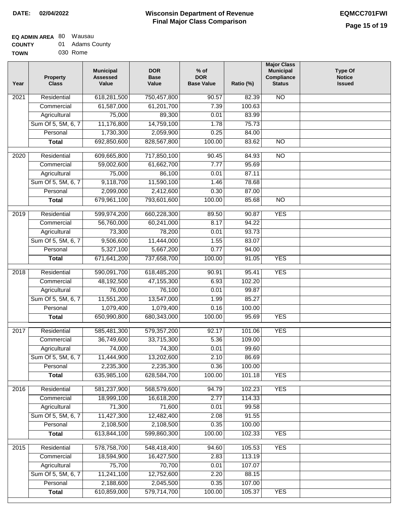#### **Wisconsin Department of Revenue Final Major Class Comparison DATE: 02/04/2022 EQMCC701FWI**

٦

| ------      | .        |  |
|-------------|----------|--|
| <b>TOWN</b> | 030 Rome |  |

| Year | <b>Property</b><br><b>Class</b> | <b>Municipal</b><br><b>Assessed</b><br>Value | <b>DOR</b><br><b>Base</b><br>Value | $%$ of<br><b>DOR</b><br><b>Base Value</b> | Ratio (%) | <b>Major Class</b><br><b>Municipal</b><br>Compliance<br><b>Status</b> | <b>Type Of</b><br><b>Notice</b><br><b>Issued</b> |
|------|---------------------------------|----------------------------------------------|------------------------------------|-------------------------------------------|-----------|-----------------------------------------------------------------------|--------------------------------------------------|
| 2021 | Residential                     | 618,281,500                                  | 750,457,800                        | 90.57                                     | 82.39     | <b>NO</b>                                                             |                                                  |
|      | Commercial                      | 61,587,000                                   | 61,201,700                         | 7.39                                      | 100.63    |                                                                       |                                                  |
|      | Agricultural                    | 75,000                                       | 89,300                             | 0.01                                      | 83.99     |                                                                       |                                                  |
|      | Sum Of 5, 5M, 6, 7              | 11,176,800                                   | 14,759,100                         | 1.78                                      | 75.73     |                                                                       |                                                  |
|      | Personal                        | 1,730,300                                    | 2,059,900                          | 0.25                                      | 84.00     |                                                                       |                                                  |
|      | <b>Total</b>                    | 692,850,600                                  | 828,567,800                        | 100.00                                    | 83.62     | N <sub>O</sub>                                                        |                                                  |
| 2020 | Residential                     | 609,665,800                                  | 717,850,100                        | 90.45                                     | 84.93     | $\overline{10}$                                                       |                                                  |
|      | Commercial                      | 59,002,600                                   | 61,662,700                         | 7.77                                      | 95.69     |                                                                       |                                                  |
|      | Agricultural                    | 75,000                                       | 86,100                             | 0.01                                      | 87.11     |                                                                       |                                                  |
|      | Sum Of 5, 5M, 6, 7              | 9,118,700                                    | 11,590,100                         | 1.46                                      | 78.68     |                                                                       |                                                  |
|      | Personal                        | 2,099,000                                    | 2,412,600                          | 0.30                                      | 87.00     |                                                                       |                                                  |
|      | <b>Total</b>                    | 679,961,100                                  | 793,601,600                        | 100.00                                    | 85.68     | $\overline{NO}$                                                       |                                                  |
|      |                                 |                                              |                                    |                                           |           |                                                                       |                                                  |
| 2019 | Residential                     | 599,974,200                                  | 660,228,300                        | 89.50                                     | 90.87     | <b>YES</b>                                                            |                                                  |
|      | Commercial                      | 56,760,000                                   | 60,241,000                         | 8.17                                      | 94.22     |                                                                       |                                                  |
|      | Agricultural                    | 73,300                                       | 78,200                             | 0.01                                      | 93.73     |                                                                       |                                                  |
|      | Sum Of 5, 5M, 6, 7              | 9,506,600                                    | 11,444,000                         | 1.55                                      | 83.07     |                                                                       |                                                  |
|      | Personal                        | 5,327,100                                    | 5,667,200                          | 0.77                                      | 94.00     |                                                                       |                                                  |
|      | <b>Total</b>                    | 671,641,200                                  | 737,658,700                        | 100.00                                    | 91.05     | <b>YES</b>                                                            |                                                  |
| 2018 | Residential                     | 590,091,700                                  | 618,485,200                        | 90.91                                     | 95.41     | <b>YES</b>                                                            |                                                  |
|      | Commercial                      | 48,192,500                                   | 47, 155, 300                       | 6.93                                      | 102.20    |                                                                       |                                                  |
|      | Agricultural                    | 76,000                                       | 76,100                             | 0.01                                      | 99.87     |                                                                       |                                                  |
|      | Sum Of 5, 5M, 6, 7              | 11,551,200                                   | 13,547,000                         | 1.99                                      | 85.27     |                                                                       |                                                  |
|      | Personal                        | 1,079,400                                    | 1,079,400                          | 0.16                                      | 100.00    |                                                                       |                                                  |
|      | <b>Total</b>                    | 650,990,800                                  | 680,343,000                        | 100.00                                    | 95.69     | <b>YES</b>                                                            |                                                  |
| 2017 | Residential                     | 585,481,300                                  | 579,357,200                        | 92.17                                     | 101.06    | <b>YES</b>                                                            |                                                  |
|      | Commercial                      | 36,749,600                                   | 33,715,300                         | 5.36                                      | 109.00    |                                                                       |                                                  |
|      | Agricultural                    | 74,000                                       | 74,300                             | 0.01                                      | 99.60     |                                                                       |                                                  |
|      | Sum Of 5, 5M, 6, 7              | 11,444,900                                   | 13,202,600                         | 2.10                                      | 86.69     |                                                                       |                                                  |
|      | Personal                        | 2,235,300                                    | 2,235,300                          | 0.36                                      | 100.00    |                                                                       |                                                  |
|      | <b>Total</b>                    | 635,985,100                                  | 628,584,700                        | 100.00                                    | 101.18    | <b>YES</b>                                                            |                                                  |
|      |                                 |                                              |                                    |                                           |           |                                                                       |                                                  |
| 2016 | Residential                     | 581,237,900                                  | 568,579,600                        | 94.79                                     | 102.23    | <b>YES</b>                                                            |                                                  |
|      | Commercial                      | 18,999,100                                   | 16,618,200                         | 2.77                                      | 114.33    |                                                                       |                                                  |
|      | Agricultural                    | 71,300                                       | 71,600                             | 0.01                                      | 99.58     |                                                                       |                                                  |
|      | Sum Of 5, 5M, 6, 7              | 11,427,300                                   | 12,482,400                         | 2.08                                      | 91.55     |                                                                       |                                                  |
|      | Personal                        | 2,108,500                                    | 2,108,500                          | 0.35                                      | 100.00    |                                                                       |                                                  |
|      | <b>Total</b>                    | 613,844,100                                  | 599,860,300                        | 100.00                                    | 102.33    | <b>YES</b>                                                            |                                                  |
| 2015 | Residential                     | 578,758,700                                  | 548,418,400                        | 94.60                                     | 105.53    | <b>YES</b>                                                            |                                                  |
|      | Commercial                      | 18,594,900                                   | 16,427,500                         | 2.83                                      | 113.19    |                                                                       |                                                  |
|      | Agricultural                    | 75,700                                       | 70,700                             | 0.01                                      | 107.07    |                                                                       |                                                  |
|      | Sum Of 5, 5M, 6, 7              | 11,241,100                                   | 12,752,600                         | 2.20                                      | 88.15     |                                                                       |                                                  |
|      | Personal                        | 2,188,600                                    | 2,045,500                          | 0.35                                      | 107.00    |                                                                       |                                                  |
|      | <b>Total</b>                    | 610,859,000                                  | 579,714,700                        | 100.00                                    | 105.37    | <b>YES</b>                                                            |                                                  |
|      |                                 |                                              |                                    |                                           |           |                                                                       |                                                  |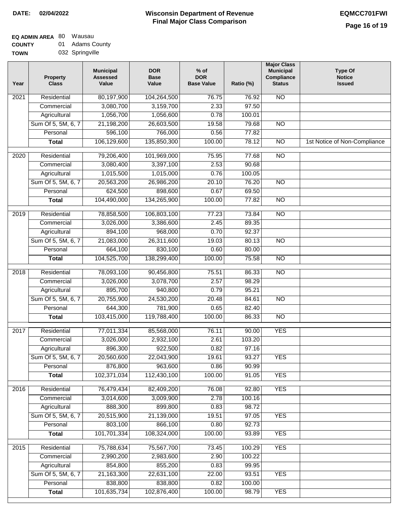## **EQ ADMIN AREA** 80 Wausau

**COUNTY TOWN** 01 Adams County

| 032 Springville |
|-----------------|
|                 |

| Year | <b>Property</b><br><b>Class</b> | <b>Municipal</b><br><b>Assessed</b><br>Value | <b>DOR</b><br><b>Base</b><br>Value | $%$ of<br><b>DOR</b><br><b>Base Value</b> | Ratio (%) | <b>Major Class</b><br><b>Municipal</b><br>Compliance<br><b>Status</b> | <b>Type Of</b><br><b>Notice</b><br><b>Issued</b> |
|------|---------------------------------|----------------------------------------------|------------------------------------|-------------------------------------------|-----------|-----------------------------------------------------------------------|--------------------------------------------------|
| 2021 | Residential                     | 80,197,900                                   | 104,264,500                        | 76.75                                     | 76.92     | <b>NO</b>                                                             |                                                  |
|      | Commercial                      | 3,080,700                                    | 3,159,700                          | 2.33                                      | 97.50     |                                                                       |                                                  |
|      | Agricultural                    | 1,056,700                                    | 1,056,600                          | 0.78                                      | 100.01    |                                                                       |                                                  |
|      | Sum Of 5, 5M, 6, 7              | 21,198,200                                   | 26,603,500                         | 19.58                                     | 79.68     | $\overline{NO}$                                                       |                                                  |
|      | Personal                        | 596,100                                      | 766,000                            | 0.56                                      | 77.82     |                                                                       |                                                  |
|      | <b>Total</b>                    | 106,129,600                                  | 135,850,300                        | 100.00                                    | 78.12     | $\overline{NO}$                                                       | 1st Notice of Non-Compliance                     |
| 2020 | Residential                     | 79,206,400                                   | 101,969,000                        | 75.95                                     | 77.68     | $\overline{10}$                                                       |                                                  |
|      | Commercial                      | 3,080,400                                    | 3,397,100                          | 2.53                                      | 90.68     |                                                                       |                                                  |
|      | Agricultural                    | 1,015,500                                    | 1,015,000                          | 0.76                                      | 100.05    |                                                                       |                                                  |
|      | Sum Of 5, 5M, 6, 7              | 20,563,200                                   | 26,986,200                         | 20.10                                     | 76.20     | $\overline{NO}$                                                       |                                                  |
|      | Personal                        | 624,500                                      | 898,600                            | 0.67                                      | 69.50     |                                                                       |                                                  |
|      | <b>Total</b>                    | 104,490,000                                  | 134,265,900                        | 100.00                                    | 77.82     | $\overline{NO}$                                                       |                                                  |
|      |                                 |                                              |                                    |                                           |           |                                                                       |                                                  |
| 2019 | Residential                     | 78,858,500                                   | 106,803,100                        | 77.23                                     | 73.84     | <b>NO</b>                                                             |                                                  |
|      | Commercial                      | 3,026,000                                    | 3,386,600                          | 2.45                                      | 89.35     |                                                                       |                                                  |
|      | Agricultural                    | 894,100                                      | 968,000                            | 0.70                                      | 92.37     |                                                                       |                                                  |
|      | Sum Of 5, 5M, 6, 7              | 21,083,000                                   | 26,311,600                         | 19.03                                     | 80.13     | $\overline{NO}$                                                       |                                                  |
|      | Personal                        | 664,100                                      | 830,100                            | 0.60                                      | 80.00     |                                                                       |                                                  |
|      | <b>Total</b>                    | 104,525,700                                  | 138,299,400                        | 100.00                                    | 75.58     | <b>NO</b>                                                             |                                                  |
| 2018 | Residential                     | 78,093,100                                   | 90,456,800                         | 75.51                                     | 86.33     | $\overline{NO}$                                                       |                                                  |
|      | Commercial                      | 3,026,000                                    | 3,078,700                          | 2.57                                      | 98.29     |                                                                       |                                                  |
|      | Agricultural                    | 895,700                                      | 940,800                            | 0.79                                      | 95.21     |                                                                       |                                                  |
|      | Sum Of 5, 5M, 6, 7              | 20,755,900                                   | 24,530,200                         | 20.48                                     | 84.61     | <b>NO</b>                                                             |                                                  |
|      | Personal                        | 644,300                                      | 781,900                            | 0.65                                      | 82.40     |                                                                       |                                                  |
|      | <b>Total</b>                    | 103,415,000                                  | 119,788,400                        | 100.00                                    | 86.33     | $\overline{10}$                                                       |                                                  |
| 2017 | Residential                     | 77,011,334                                   | 85,568,000                         | 76.11                                     | 90.00     | <b>YES</b>                                                            |                                                  |
|      | Commercial                      | 3,026,000                                    | 2,932,100                          | 2.61                                      | 103.20    |                                                                       |                                                  |
|      | Agricultural                    | 896,300                                      | 922,500                            | 0.82                                      | 97.16     |                                                                       |                                                  |
|      | Sum Of 5, 5M, 6, 7              | 20,560,600                                   | 22,043,900                         | 19.61                                     | 93.27     | <b>YES</b>                                                            |                                                  |
|      | Personal                        | 876,800                                      | 963,600                            | 0.86                                      | 90.99     |                                                                       |                                                  |
|      | <b>Total</b>                    | 102,371,034                                  | 112,430,100                        | 100.00                                    | 91.05     | <b>YES</b>                                                            |                                                  |
| 2016 | Residential                     | 76,479,434                                   | 82,409,200                         | 76.08                                     | 92.80     | <b>YES</b>                                                            |                                                  |
|      | Commercial                      | 3,014,600                                    | 3,009,900                          | 2.78                                      | 100.16    |                                                                       |                                                  |
|      | Agricultural                    | 888,300                                      | 899,800                            | 0.83                                      | 98.72     |                                                                       |                                                  |
|      | Sum Of 5, 5M, 6, 7              | 20,515,900                                   | 21,139,000                         | 19.51                                     | 97.05     | <b>YES</b>                                                            |                                                  |
|      | Personal                        | 803,100                                      | 866,100                            | 0.80                                      | 92.73     |                                                                       |                                                  |
|      | <b>Total</b>                    | 101,701,334                                  | 108,324,000                        | 100.00                                    | 93.89     | <b>YES</b>                                                            |                                                  |
|      |                                 |                                              |                                    |                                           |           |                                                                       |                                                  |
| 2015 | Residential                     | 75,788,634                                   | 75,567,700                         | 73.45                                     | 100.29    | <b>YES</b>                                                            |                                                  |
|      | Commercial                      | 2,990,200                                    | 2,983,600                          | 2.90                                      | 100.22    |                                                                       |                                                  |
|      | Agricultural                    | 854,800                                      | 855,200                            | 0.83                                      | 99.95     |                                                                       |                                                  |
|      | Sum Of 5, 5M, 6, 7              | 21,163,300                                   | 22,631,100                         | 22.00                                     | 93.51     | <b>YES</b>                                                            |                                                  |
|      | Personal                        | 838,800                                      | 838,800                            | 0.82                                      | 100.00    |                                                                       |                                                  |
|      | <b>Total</b>                    | 101,635,734                                  | 102,876,400                        | 100.00                                    | 98.79     | <b>YES</b>                                                            |                                                  |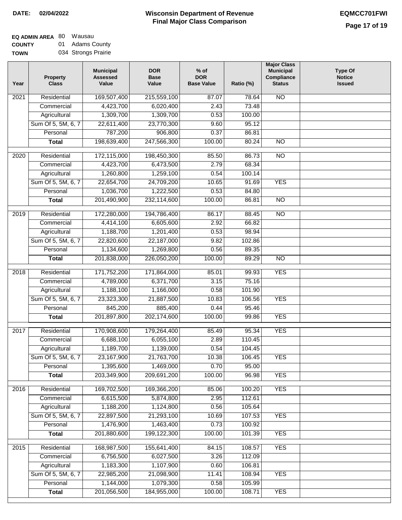### **Wisconsin Department of Revenue DATE: 02/04/2022 EQMCC701FWI Final Major Class Comparison**

| <b>EQ ADMIN AREA 80 Wausau</b> |                 |
|--------------------------------|-----------------|
| <b>COUNTY</b>                  | 01 Adams County |

**TOWN** 034 Strongs Prairie

| Year | <b>Property</b><br><b>Class</b> | <b>Municipal</b><br><b>Assessed</b><br>Value | <b>DOR</b><br><b>Base</b><br>Value | $%$ of<br><b>DOR</b><br><b>Base Value</b> | Ratio (%) | <b>Major Class</b><br><b>Municipal</b><br>Compliance<br><b>Status</b> | <b>Type Of</b><br><b>Notice</b><br><b>Issued</b> |
|------|---------------------------------|----------------------------------------------|------------------------------------|-------------------------------------------|-----------|-----------------------------------------------------------------------|--------------------------------------------------|
| 2021 | Residential                     | 169,507,400                                  | 215,559,100                        | 87.07                                     | 78.64     | <b>NO</b>                                                             |                                                  |
|      | Commercial                      | 4,423,700                                    | 6,020,400                          | 2.43                                      | 73.48     |                                                                       |                                                  |
|      | Agricultural                    | 1,309,700                                    | 1,309,700                          | 0.53                                      | 100.00    |                                                                       |                                                  |
|      | Sum Of 5, 5M, 6, 7              | 22,611,400                                   | 23,770,300                         | 9.60                                      | 95.12     |                                                                       |                                                  |
|      | Personal                        | 787,200                                      | 906,800                            | 0.37                                      | 86.81     |                                                                       |                                                  |
|      | <b>Total</b>                    | 198,639,400                                  | 247,566,300                        | 100.00                                    | 80.24     | $\overline{NO}$                                                       |                                                  |
| 2020 | Residential                     | 172,115,000                                  | 198,450,300                        | 85.50                                     | 86.73     | $\overline{NO}$                                                       |                                                  |
|      | Commercial                      | 4,423,700                                    | 6,473,500                          | 2.79                                      | 68.34     |                                                                       |                                                  |
|      | Agricultural                    | 1,260,800                                    | 1,259,100                          | 0.54                                      | 100.14    |                                                                       |                                                  |
|      | Sum Of 5, 5M, 6, 7              | 22,654,700                                   | 24,709,200                         | 10.65                                     | 91.69     | <b>YES</b>                                                            |                                                  |
|      | Personal                        | 1,036,700                                    | 1,222,500                          | 0.53                                      | 84.80     |                                                                       |                                                  |
|      | <b>Total</b>                    | 201,490,900                                  | 232,114,600                        | 100.00                                    | 86.81     | $\overline{NO}$                                                       |                                                  |
| 2019 | Residential                     | 172,280,000                                  | 194,786,400                        | 86.17                                     | 88.45     | $\overline{NO}$                                                       |                                                  |
|      | Commercial                      | 4,414,100                                    | 6,605,600                          | 2.92                                      | 66.82     |                                                                       |                                                  |
|      | Agricultural                    | 1,188,700                                    | 1,201,400                          | 0.53                                      | 98.94     |                                                                       |                                                  |
|      | Sum Of 5, 5M, 6, 7              | 22,820,600                                   | 22,187,000                         | 9.82                                      | 102.86    |                                                                       |                                                  |
|      | Personal                        | 1,134,600                                    | 1,269,800                          | 0.56                                      | 89.35     |                                                                       |                                                  |
|      | <b>Total</b>                    | 201,838,000                                  | 226,050,200                        | 100.00                                    | 89.29     | $\overline{NO}$                                                       |                                                  |
| 2018 | Residential                     | 171,752,200                                  | 171,864,000                        | 85.01                                     | 99.93     | <b>YES</b>                                                            |                                                  |
|      | Commercial                      | 4,789,000                                    | 6,371,700                          | 3.15                                      | 75.16     |                                                                       |                                                  |
|      | Agricultural                    | 1,188,100                                    | 1,166,000                          | 0.58                                      | 101.90    |                                                                       |                                                  |
|      | Sum Of 5, 5M, 6, 7              | 23,323,300                                   | 21,887,500                         | 10.83                                     | 106.56    | <b>YES</b>                                                            |                                                  |
|      | Personal                        | 845,200                                      | 885,400                            | 0.44                                      | 95.46     |                                                                       |                                                  |
|      | <b>Total</b>                    | 201,897,800                                  | 202,174,600                        | 100.00                                    | 99.86     | <b>YES</b>                                                            |                                                  |
| 2017 | Residential                     | 170,908,600                                  | 179,264,400                        | 85.49                                     | 95.34     | <b>YES</b>                                                            |                                                  |
|      | Commercial                      | 6,688,100                                    | 6,055,100                          | 2.89                                      | 110.45    |                                                                       |                                                  |
|      | Agricultural                    | 1,189,700                                    | 1,139,000                          | 0.54                                      | 104.45    |                                                                       |                                                  |
|      | Sum Of 5, 5M, 6, 7              | 23,167,900                                   | 21,763,700                         | 10.38                                     | 106.45    | <b>YES</b>                                                            |                                                  |
|      | Personal                        | 1,395,600                                    | 1,469,000                          | 0.70                                      | 95.00     |                                                                       |                                                  |
|      | <b>Total</b>                    | 203,349,900                                  | 209,691,200                        | 100.00                                    | 96.98     | <b>YES</b>                                                            |                                                  |
| 2016 | Residential                     | 169,702,500                                  | 169,366,200                        | 85.06                                     | 100.20    | <b>YES</b>                                                            |                                                  |
|      | Commercial                      | 6,615,500                                    | 5,874,800                          | 2.95                                      | 112.61    |                                                                       |                                                  |
|      | Agricultural                    | 1,188,200                                    | 1,124,800                          | 0.56                                      | 105.64    |                                                                       |                                                  |
|      | Sum Of 5, 5M, 6, 7              | 22,897,500                                   | 21,293,100                         | 10.69                                     | 107.53    | <b>YES</b>                                                            |                                                  |
|      | Personal                        | 1,476,900                                    | 1,463,400                          | 0.73                                      | 100.92    |                                                                       |                                                  |
|      | <b>Total</b>                    | 201,880,600                                  | 199,122,300                        | 100.00                                    | 101.39    | <b>YES</b>                                                            |                                                  |
| 2015 | Residential                     | 168,987,500                                  | 155,641,400                        | 84.15                                     | 108.57    | <b>YES</b>                                                            |                                                  |
|      | Commercial                      | 6,756,500                                    | 6,027,500                          | 3.26                                      | 112.09    |                                                                       |                                                  |
|      | Agricultural                    | 1,183,300                                    | 1,107,900                          | 0.60                                      | 106.81    |                                                                       |                                                  |
|      | Sum Of 5, 5M, 6, 7              | 22,985,200                                   | 21,098,900                         | 11.41                                     | 108.94    | <b>YES</b>                                                            |                                                  |
|      | Personal                        | 1,144,000                                    | 1,079,300                          | 0.58                                      | 105.99    |                                                                       |                                                  |
|      | <b>Total</b>                    | 201,056,500                                  | 184,955,000                        | 100.00                                    | 108.71    | <b>YES</b>                                                            |                                                  |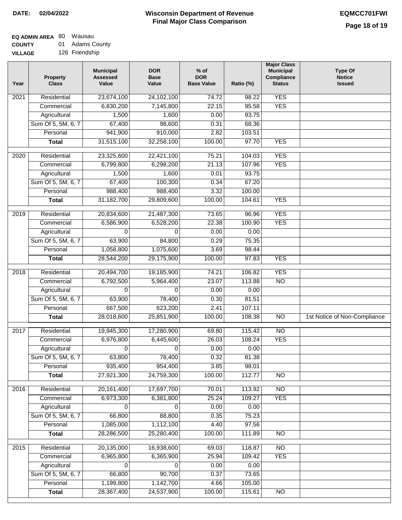### **EQ ADMIN AREA** 80 Wausau

**COUNTY** 01 Adams County

**VILLAGE** 126 Friendship

| Year              | <b>Property</b><br><b>Class</b>    | <b>Municipal</b><br><b>Assessed</b><br>Value | <b>DOR</b><br><b>Base</b><br>Value | % of<br><b>DOR</b><br><b>Base Value</b> | Ratio (%)        | <b>Major Class</b><br><b>Municipal</b><br>Compliance<br><b>Status</b> | <b>Type Of</b><br><b>Notice</b><br><b>Issued</b> |
|-------------------|------------------------------------|----------------------------------------------|------------------------------------|-----------------------------------------|------------------|-----------------------------------------------------------------------|--------------------------------------------------|
| $\overline{202}1$ | Residential                        | 23,674,100                                   | 24,102,100                         | 74.72                                   | 98.22            | <b>YES</b>                                                            |                                                  |
|                   | Commercial                         | 6,830,200                                    | 7,145,800                          | 22.15                                   | 95.58            | <b>YES</b>                                                            |                                                  |
|                   | Agricultural                       | 1,500                                        | 1,600                              | 0.00                                    | 93.75            |                                                                       |                                                  |
|                   | Sum Of 5, 5M, 6, 7                 | 67,400                                       | 98,600                             | 0.31                                    | 68.36            |                                                                       |                                                  |
|                   | Personal                           | 941,900                                      | 910,000                            | 2.82                                    | 103.51           |                                                                       |                                                  |
|                   | <b>Total</b>                       | 31,515,100                                   | 32,258,100                         | 100.00                                  | 97.70            | <b>YES</b>                                                            |                                                  |
| $\overline{2020}$ | Residential                        | 23,325,600                                   | 22,421,100                         | 75.21                                   | 104.03           | <b>YES</b>                                                            |                                                  |
|                   | Commercial                         | 6,799,800                                    | 6,298,200                          | 21.13                                   | 107.96           | <b>YES</b>                                                            |                                                  |
|                   | Agricultural                       | 1,500                                        | 1,600                              | 0.01                                    | 93.75            |                                                                       |                                                  |
|                   | Sum Of 5, 5M, 6, 7                 | 67,400                                       | 100,300                            | 0.34                                    | 67.20            |                                                                       |                                                  |
|                   | Personal                           | 988,400                                      | 988,400                            | 3.32                                    | 100.00           |                                                                       |                                                  |
|                   | <b>Total</b>                       | 31,182,700                                   | 29,809,600                         | 100.00                                  | 104.61           | <b>YES</b>                                                            |                                                  |
| 2019              | Residential                        | 20,834,600                                   | 21,487,300                         | 73.65                                   | 96.96            | <b>YES</b>                                                            |                                                  |
|                   | Commercial                         | 6,586,900                                    | 6,528,200                          | 22.38                                   | 100.90           | <b>YES</b>                                                            |                                                  |
|                   | Agricultural                       | 0                                            | 0                                  | 0.00                                    | 0.00             |                                                                       |                                                  |
|                   | Sum Of 5, 5M, 6, 7                 | 63,900                                       | 84,800                             | 0.29                                    | 75.35            |                                                                       |                                                  |
|                   | Personal                           | 1,058,800                                    | 1,075,600                          | 3.69                                    | 98.44            |                                                                       |                                                  |
|                   | <b>Total</b>                       | 28,544,200                                   | 29,175,900                         | 100.00                                  | 97.83            | <b>YES</b>                                                            |                                                  |
| 2018              | Residential                        | 20,494,700                                   | 19,185,900                         | 74.21                                   | 106.82           | <b>YES</b>                                                            |                                                  |
|                   | Commercial                         | 6,792,500                                    | 5,964,400                          | 23.07                                   | 113.88           | <b>NO</b>                                                             |                                                  |
|                   | Agricultural                       | 0                                            | 0                                  | 0.00                                    | 0.00             |                                                                       |                                                  |
|                   | Sum Of 5, 5M, 6, 7                 | 63,900                                       | 78,400                             | 0.30                                    | 81.51            |                                                                       |                                                  |
|                   | Personal                           | 667,500                                      | 623,200                            | 2.41                                    | 107.11           |                                                                       |                                                  |
|                   | <b>Total</b>                       | 28,018,600                                   | 25,851,900                         | 100.00                                  | 108.38           | $\overline{10}$                                                       | 1st Notice of Non-Compliance                     |
| 2017              | Residential                        | 19,945,300                                   | 17,280,900                         | 69.80                                   | 115.42           | N <sub>O</sub>                                                        |                                                  |
|                   | Commercial                         | 6,976,800                                    | 6,445,600                          | 26.03                                   | 108.24           | <b>YES</b>                                                            |                                                  |
|                   | Agricultural                       | 0                                            | 0                                  | 0.00                                    | 0.00             |                                                                       |                                                  |
|                   | Sum Of 5, 5M, 6, 7                 | 63,800                                       | 78,400                             | 0.32                                    | 81.38            |                                                                       |                                                  |
|                   | Personal                           | 935,400                                      | 954,400                            | 3.85                                    | 98.01            |                                                                       |                                                  |
|                   | <b>Total</b>                       | 27,921,300                                   | 24,759,300                         | 100.00                                  | 112.77           | <b>NO</b>                                                             |                                                  |
|                   |                                    |                                              |                                    |                                         |                  |                                                                       |                                                  |
| 2016              | Residential<br>Commercial          | 20, 161, 400<br>6,973,300                    | 17,697,700<br>6,381,800            | 70.01<br>25.24                          | 113.92<br>109.27 | N <sub>O</sub><br><b>YES</b>                                          |                                                  |
|                   | Agricultural                       | 0                                            | 0                                  | 0.00                                    | 0.00             |                                                                       |                                                  |
|                   | Sum Of 5, 5M, 6, 7                 | 66,800                                       | 88,800                             | 0.35                                    | 75.23            |                                                                       |                                                  |
|                   | Personal                           | 1,085,000                                    | 1,112,100                          | 4.40                                    | 97.56            |                                                                       |                                                  |
|                   | <b>Total</b>                       | 28,286,500                                   | 25,280,400                         | 100.00                                  | 111.89           | $\overline{NO}$                                                       |                                                  |
|                   |                                    |                                              |                                    |                                         |                  |                                                                       |                                                  |
| 2015              | Residential                        | 20,135,000                                   | 16,938,600                         | 69.03                                   | 118.87           | <b>NO</b>                                                             |                                                  |
|                   | Commercial                         | 6,965,800                                    | 6,365,900                          | 25.94                                   | 109.42<br>0.00   | <b>YES</b>                                                            |                                                  |
|                   | Agricultural<br>Sum Of 5, 5M, 6, 7 | 0<br>66,800                                  | 0<br>90,700                        | 0.00<br>0.37                            | 73.65            |                                                                       |                                                  |
|                   | Personal                           | 1,199,800                                    | 1,142,700                          | 4.66                                    | 105.00           |                                                                       |                                                  |
|                   | <b>Total</b>                       | 28,367,400                                   | 24,537,900                         | 100.00                                  | 115.61           | N <sub>O</sub>                                                        |                                                  |
|                   |                                    |                                              |                                    |                                         |                  |                                                                       |                                                  |